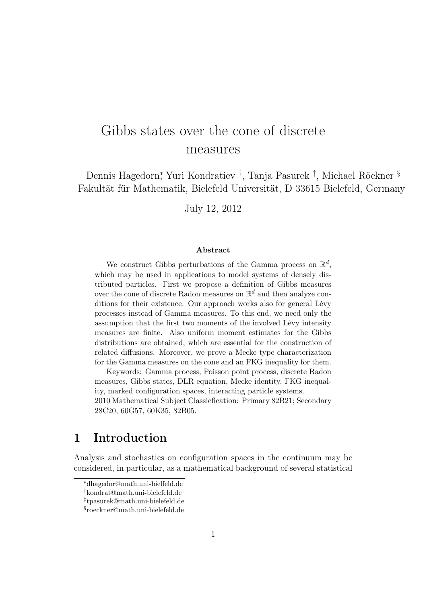# Gibbs states over the cone of discrete measures

Dennis Hagedorn<sup>∗</sup> , Yuri Kondratiev † , Tanja Pasurek ‡ , Michael Röckner § Fakultät für Mathematik, Bielefeld Universität, D 33615 Bielefeld, Germany

July 12, 2012

#### Abstract

We construct Gibbs perturbations of the Gamma process on  $\mathbb{R}^d$ , which may be used in applications to model systems of densely distributed particles. First we propose a definition of Gibbs measures over the cone of discrete Radon measures on  $\mathbb{R}^d$  and then analyze conditions for their existence. Our approach works also for general Lévy processes instead of Gamma measures. To this end, we need only the assumption that the first two moments of the involved Lévy intensity measures are finite. Also uniform moment estimates for the Gibbs distributions are obtained, which are essential for the construction of related diffusions. Moreover, we prove a Mecke type characterization for the Gamma measures on the cone and an FKG inequality for them.

Keywords: Gamma process, Poisson point process, discrete Radon measures, Gibbs states, DLR equation, Mecke identity, FKG inequality, marked configuration spaces, interacting particle systems. 2010 Mathematical Subject Classicfication: Primary 82B21; Secondary 28C20, 60G57, 60K35, 82B05.

# 1 Introduction

Analysis and stochastics on configuration spaces in the continuum may be considered, in particular, as a mathematical background of several statistical

<sup>∗</sup>dhagedor@math.uni-bielfeld.de

<sup>†</sup>kondrat@math.uni-bielefeld.de

<sup>‡</sup> tpasurek@math.uni-bielefeld.de

<sup>§</sup> roeckner@math.uni-bielefeld.de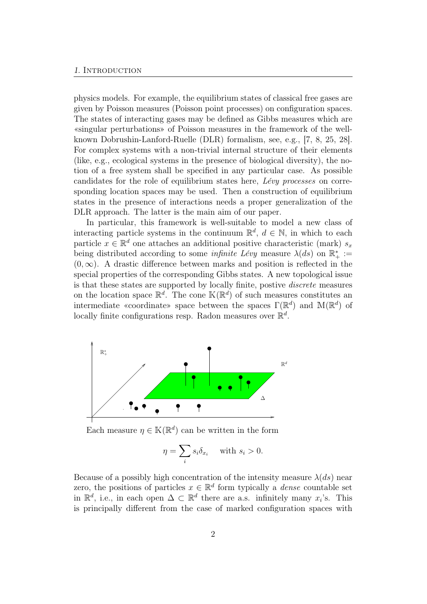physics models. For example, the equilibrium states of classical free gases are given by Poisson measures (Poisson point processes) on configuration spaces. The states of interacting gases may be defined as Gibbs measures which are «singular perturbations» of Poisson measures in the framework of the wellknown Dobrushin-Lanford-Ruelle (DLR) formalism, see, e.g., [7, 8, 25, 28]. For complex systems with a non-trivial internal structure of their elements (like, e.g., ecological systems in the presence of biological diversity), the notion of a free system shall be specified in any particular case. As possible candidates for the role of equilibrium states here, Lévy processes on corresponding location spaces may be used. Then a construction of equilibrium states in the presence of interactions needs a proper generalization of the DLR approach. The latter is the main aim of our paper.

In particular, this framework is well-suitable to model a new class of interacting particle systems in the continuum  $\mathbb{R}^d$ ,  $d \in \mathbb{N}$ , in which to each particle  $x \in \mathbb{R}^d$  one attaches an additional positive characteristic (mark)  $s_x$ being distributed according to some *infinite Lévy* measure  $\lambda(ds)$  on  $\mathbb{R}^*_+ :=$  $(0, \infty)$ . A drastic difference between marks and position is reflected in the special properties of the corresponding Gibbs states. A new topological issue is that these states are supported by locally finite, postive discrete measures on the location space  $\mathbb{R}^d$ . The cone  $\mathbb{K}(\mathbb{R}^d)$  of such measures constitutes an intermediate «coordinate» space between the spaces  $\Gamma(\mathbb{R}^d)$  and  $\mathbb{M}(\mathbb{R}^d)$  of locally finite configurations resp. Radon measures over  $\mathbb{R}^d$ .



Each measure  $\eta \in K(\mathbb{R}^d)$  can be written in the form

$$
\eta = \sum_{i} s_i \delta_{x_i} \quad \text{with } s_i > 0.
$$

Because of a possibly high concentration of the intensity measure  $\lambda(ds)$  near zero, the positions of particles  $x \in \mathbb{R}^d$  form typically a *dense* countable set in  $\mathbb{R}^d$ , i.e., in each open  $\Delta \subset \mathbb{R}^d$  there are a.s. infinitely many  $x_i$ 's. This is principally different from the case of marked configuration spaces with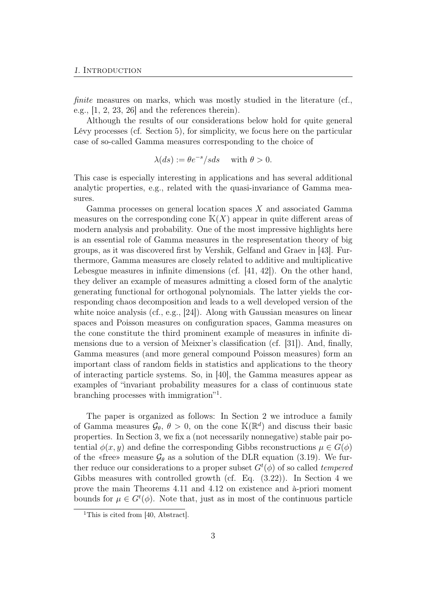finite measures on marks, which was mostly studied in the literature (cf., e.g.,  $[1, 2, 23, 26]$  and the references therein).

Although the results of our considerations below hold for quite general Lévy processes (cf. Section 5), for simplicity, we focus here on the particular case of so-called Gamma measures corresponding to the choice of

$$
\lambda(ds) := \theta e^{-s} / s ds \quad \text{ with } \theta > 0.
$$

This case is especially interesting in applications and has several additional analytic properties, e.g., related with the quasi-invariance of Gamma measures.

Gamma processes on general location spaces X and associated Gamma measures on the corresponding cone  $K(X)$  appear in quite different areas of modern analysis and probability. One of the most impressive highlights here is an essential role of Gamma measures in the respresentation theory of big groups, as it was discovered first by Vershik, Gelfand and Graev in [43]. Furthermore, Gamma measures are closely related to additive and multiplicative Lebesgue measures in infinite dimensions (cf. [41, 42]). On the other hand, they deliver an example of measures admitting a closed form of the analytic generating functional for orthogonal polynomials. The latter yields the corresponding chaos decomposition and leads to a well developed version of the white noice analysis  $(cf., e.g., [24])$ . Along with Gaussian measures on linear spaces and Poisson measures on configuration spaces, Gamma measures on the cone constitute the third prominent example of measures in infinite dimensions due to a version of Meixner's classification (cf. [31]). And, finally, Gamma measures (and more general compound Poisson measures) form an important class of random fields in statistics and applications to the theory of interacting particle systems. So, in [40], the Gamma measures appear as examples of "invariant probability measures for a class of continuous state branching processes with immigration"<sup>1</sup>.

The paper is organized as follows: In Section 2 we introduce a family of Gamma measures  $\mathcal{G}_{\theta}, \theta > 0$ , on the cone  $\mathbb{K}(\mathbb{R}^d)$  and discuss their basic properties. In Section 3, we fix a (not necessarily nonnegative) stable pair potential  $\phi(x, y)$  and define the corresponding Gibbs reconstructions  $\mu \in G(\phi)$ of the «free» measure  $\mathcal{G}_{\theta}$  as a solution of the DLR equation (3.19). We further reduce our considerations to a proper subset  $G<sup>t</sup>(\phi)$  of so called *tempered* Gibbs measures with controlled growth (cf. Eq. (3.22)). In Section 4 we prove the main Theorems 4.11 and 4.12 on existence and à-priori moment bounds for  $\mu \in G^t(\phi)$ . Note that, just as in most of the continuous particle

<sup>&</sup>lt;sup>1</sup>This is cited from [40, Abstract].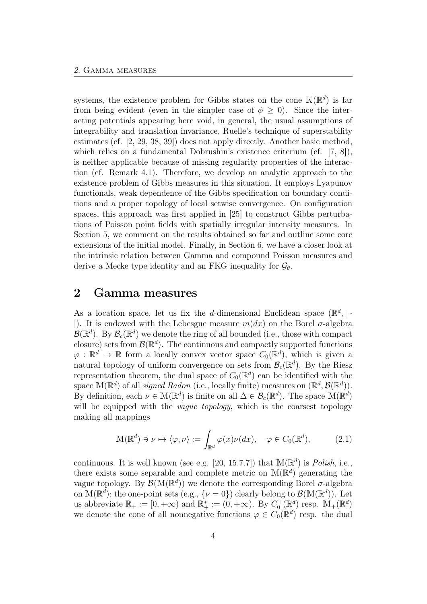systems, the existence problem for Gibbs states on the cone  $\mathbb{K}(\mathbb{R}^d)$  is far from being evident (even in the simpler case of  $\phi > 0$ ). Since the interacting potentials appearing here void, in general, the usual assumptions of integrability and translation invariance, Ruelle's technique of superstability estimates (cf. [2, 29, 38, 39]) does not apply directly. Another basic method, which relies on a fundamental Dobrushin's existence criterium (cf. [7, 8]), is neither applicable because of missing regularity properties of the interaction (cf. Remark 4.1). Therefore, we develop an analytic approach to the existence problem of Gibbs measures in this situation. It employs Lyapunov functionals, weak dependence of the Gibbs specification on boundary conditions and a proper topology of local setwise convergence. On configuration spaces, this approach was first applied in [25] to construct Gibbs perturbations of Poisson point fields with spatially irregular intensity measures. In Section 5, we comment on the results obtained so far and outline some core extensions of the initial model. Finally, in Section 6, we have a closer look at the intrinsic relation between Gamma and compound Poisson measures and derive a Mecke type identity and an FKG inequality for  $\mathcal{G}_{\theta}$ .

## 2 Gamma measures

As a location space, let us fix the d-dimensional Euclidean space  $(\mathbb{R}^d, | \cdot)$ |). It is endowed with the Lebesgue measure  $m(dx)$  on the Borel  $\sigma$ -algebra  $B(\mathbb{R}^d)$ . By  $\mathcal{B}_c(\mathbb{R}^d)$  we denote the ring of all bounded (i.e., those with compact closure) sets from  $\mathcal{B}(\mathbb{R}^d)$ . The continuous and compactly supported functions  $\varphi : \mathbb{R}^d \to \mathbb{R}$  form a locally convex vector space  $C_0(\mathbb{R}^d)$ , which is given a natural topology of uniform convergence on sets from  $\mathcal{B}_c(\mathbb{R}^d)$ . By the Riesz representation theorem, the dual space of  $C_0(\mathbb{R}^d)$  can be identified with the space  $\mathbb{M}(\mathbb{R}^d)$  of all *signed Radon* (i.e., locally finite) measures on  $(\mathbb{R}^d, \mathcal{B}(\mathbb{R}^d))$ . By definition, each  $\nu \in M(\mathbb{R}^d)$  is finite on all  $\Delta \in \mathcal{B}_c(\mathbb{R}^d)$ . The space  $M(\mathbb{R}^d)$ will be equipped with the *vague topology*, which is the coarsest topology making all mappings

$$
\mathbb{M}(\mathbb{R}^d) \ni \nu \mapsto \langle \varphi, \nu \rangle := \int_{\mathbb{R}^d} \varphi(x) \nu(dx), \quad \varphi \in C_0(\mathbb{R}^d), \tag{2.1}
$$

continuous. It is well known (see e.g. [20, 15.7.7]) that  $\mathbb{M}(\mathbb{R}^d)$  is *Polish*, i.e., there exists some separable and complete metric on  $M(\mathbb{R}^d)$  generating the vague topology. By  $\mathcal{B}(\mathbb{M}(\mathbb{R}^d))$  we denote the corresponding Borel  $\sigma$ -algebra on  $M(\mathbb{R}^d)$ ; the one-point sets (e.g.,  $\{\nu = 0\}$ ) clearly belong to  $\mathcal{B}(M(\mathbb{R}^d))$ . Let us abbreviate  $\mathbb{R}_+ := [0, +\infty)$  and  $\mathbb{R}_+^* := (0, +\infty)$ . By  $C_0^+(\mathbb{R}^d)$  resp.  $\mathbb{M}_+(\mathbb{R}^d)$ we denote the cone of all nonnegative functions  $\varphi \in C_0(\mathbb{R}^d)$  resp. the dual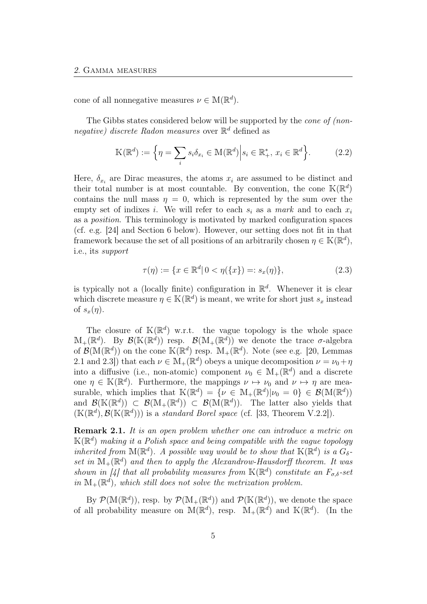cone of all nonnegative measures  $\nu \in M(\mathbb{R}^d)$ .

The Gibbs states considered below will be supported by the cone of (nonnegative) discrete Radon measures over  $\mathbb{R}^d$  defined as

$$
\mathbb{K}(\mathbb{R}^d) := \left\{ \eta = \sum_i s_i \delta_{x_i} \in \mathbb{M}(\mathbb{R}^d) \middle| s_i \in \mathbb{R}_+^*, x_i \in \mathbb{R}^d \right\}.
$$
 (2.2)

Here,  $\delta_{x_i}$  are Dirac measures, the atoms  $x_i$  are assumed to be distinct and their total number is at most countable. By convention, the cone  $\mathbb{K}(\mathbb{R}^d)$ contains the null mass  $\eta = 0$ , which is represented by the sum over the empty set of indixes i. We will refer to each  $s_i$  as a mark and to each  $x_i$ as a position. This terminology is motivated by marked configuration spaces (cf. e.g. [24] and Section 6 below). However, our setting does not fit in that framework because the set of all positions of an arbitrarily chosen  $\eta \in \mathbb{K}(\mathbb{R}^d)$ , i.e., its support

$$
\tau(\eta) := \{ x \in \mathbb{R}^d | 0 < \eta(\{x\}) =: s_x(\eta) \},\tag{2.3}
$$

is typically not a (locally finite) configuration in  $\mathbb{R}^d$ . Whenever it is clear which discrete measure  $\eta \in \mathbb{K}(\mathbb{R}^d)$  is meant, we write for short just  $s_x$  instead of  $s_x(\eta)$ .

The closure of  $K(\mathbb{R}^d)$  w.r.t. the vague topology is the whole space  $\mathbb{M}_{+}(\mathbb{R}^{d})$ . By  $\mathcal{B}(\mathbb{K}(\mathbb{R}^{d}))$  resp.  $\mathcal{B}(\mathbb{M}_{+}(\mathbb{R}^{d}))$  we denote the trace  $\sigma$ -algebra of  $\mathcal{B}(\mathbb{M}(\mathbb{R}^d))$  on the cone  $\mathbb{K}(\mathbb{R}^d)$  resp.  $\mathbb{M}_+(\mathbb{R}^d)$ . Note (see e.g. [20, Lemmas 2.1 and 2.3]) that each  $\nu \in M_+(\mathbb{R}^d)$  obeys a unique decomposition  $\nu = \nu_0 + \eta$ into a diffusive (i.e., non-atomic) component  $\nu_0 \in M_+(\mathbb{R}^d)$  and a discrete one  $\eta \in \mathbb{K}(\mathbb{R}^d)$ . Furthermore, the mappings  $\nu \mapsto \nu_0$  and  $\nu \mapsto \eta$  are measurable, which implies that  $\mathbb{K}(\mathbb{R}^d) = \{ \nu \in \mathbb{M}_+(\mathbb{R}^d) | \nu_0 = 0 \} \in \mathcal{B}(\mathbb{M}(\mathbb{R}^d))$ and  $\mathcal{B}(\mathbb{K}(\mathbb{R}^d)) \subset \mathcal{B}(\mathbb{M}_+(\mathbb{R}^d)) \subset \mathcal{B}(\mathbb{M}(\mathbb{R}^d))$ . The latter also yields that  $(\mathbb{K}(\mathbb{R}^d), \mathcal{B}(\mathbb{K}(\mathbb{R}^d)))$  is a standard Borel space (cf. [33, Theorem V.2.2]).

Remark 2.1. It is an open problem whether one can introduce a metric on  $\mathbb{K}(\mathbb{R}^d)$  making it a Polish space and being compatible with the vague topology inherited from  $M(\mathbb{R}^d)$ . A possible way would be to show that  $\mathbb{K}(\mathbb{R}^d)$  is a  $G_{\delta}$ set in  $\mathbb{M}_+(\mathbb{R}^d)$  and then to apply the Alexandrow-Hausdorff theorem. It was shown in [4] that all probability measures from  $\mathbb{K}(\mathbb{R}^d)$  constitute an  $F_{\sigma,\delta}$ -set in  $\mathbb{M}_{+}(\mathbb{R}^{d})$ , which still does not solve the metrization problem.

By  $\mathcal{P}(\mathbb{M}(\mathbb{R}^d))$ , resp. by  $\mathcal{P}(\mathbb{M}_+(\mathbb{R}^d))$  and  $\mathcal{P}(\mathbb{K}(\mathbb{R}^d))$ , we denote the space of all probability measure on  $\mathbb{M}(\mathbb{R}^d)$ , resp.  $\mathbb{M}_+(\mathbb{R}^d)$  and  $\mathbb{K}(\mathbb{R}^d)$ . (In the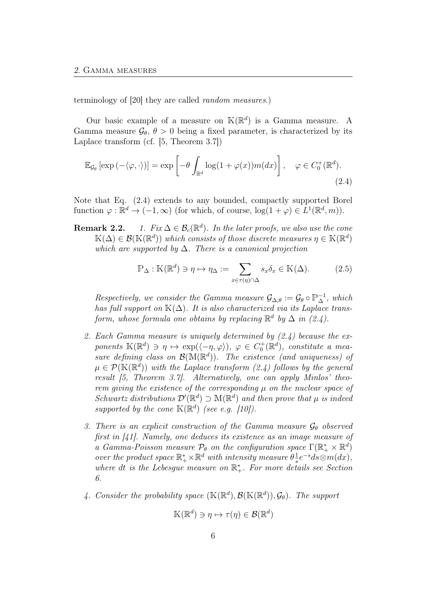terminology of [20] they are called random measures.)

Our basic example of a measure on  $\mathbb{K}(\mathbb{R}^d)$  is a Gamma measure. A Gamma measure  $\mathcal{G}_{\theta}$ ,  $\theta > 0$  being a fixed parameter, is characterized by its Laplace transform (cf. [5, Theorem 3.7])

$$
\mathbb{E}_{\mathcal{G}_{\theta}}\left[\exp\left(-\langle\varphi,\cdot\rangle\right)\right] = \exp\left[-\theta \int_{\mathbb{R}^d} \log(1+\varphi(x))m(dx)\right], \quad \varphi \in C_0^+(\mathbb{R}^d). \tag{2.4}
$$

Note that Eq. (2.4) extends to any bounded, compactly supported Borel function  $\varphi : \mathbb{R}^d \to (-1, \infty)$  (for which, of course,  $\log(1 + \varphi) \in L^1(\mathbb{R}^d, m)$ ).

**Remark 2.2.** 1. Fix  $\Delta \in \mathcal{B}_c(\mathbb{R}^d)$ . In the later proofs, we also use the cone  $\mathbb{K}(\Delta) \in \mathcal{B}(\mathbb{K}(\mathbb{R}^d))$  which consists of those discrete measures  $\eta \in \mathbb{K}(\mathbb{R}^d)$ which are supported by  $\Delta$ . There is a canonical projection

$$
\mathbb{P}_{\Delta}: \mathbb{K}(\mathbb{R}^d) \ni \eta \mapsto \eta_{\Delta} := \sum_{x \in \tau(\eta) \cap \Delta} s_x \delta_x \in \mathbb{K}(\Delta). \tag{2.5}
$$

Respectively, we consider the Gamma measure  $\mathcal{G}_{\Delta,\theta} := \mathcal{G}_{\theta} \circ \mathbb{P}_{\Delta}^{-1}$ , which has full support on  $K(\Delta)$ . It is also characterized via its Laplace transform, whose formula one obtains by replacing  $\mathbb{R}^d$  by  $\Delta$  in (2.4).

- 2. Each Gamma measure is uniquely determined by  $(2.4)$  because the exponents  $\mathbb{K}(\mathbb{R}^d) \ni \eta \mapsto \exp(\langle -\eta, \varphi \rangle), \varphi \in C_0^+(\mathbb{R}^d)$ , constitute a measure defining class on  $\mathcal{B}(\mathbb{M}(\mathbb{R}^d))$ . The existence (and uniqueness) of  $\mu \in \mathcal{P}(\mathbb{K}(\mathbb{R}^d))$  with the Laplace transform (2.4) follows by the general result [5, Theorem 3.7]. Alternatively, one can apply Minlos' theorem giving the existence of the corresponding  $\mu$  on the nuclear space of Schwartz distributions  $\mathcal{D}'(\mathbb{R}^d) \supset \mathbb{M}(\mathbb{R}^d)$  and then prove that  $\mu$  is indeed supported by the cone  $\mathbb{K}(\mathbb{R}^d)$  (see e.g. [10]).
- 3. There is an explicit construction of the Gamma measure  $\mathcal{G}_{\theta}$  observed first in [41]. Namely, one deduces its existence as an image measure of a Gamma-Poisson measure  $\mathcal{P}_{\theta}$  on the configuration space  $\Gamma(\mathbb{R}_+^* \times \mathbb{R}^d)$ over the product space  $\mathbb{R}^*_+ \times \mathbb{R}^d$  with intensity measure  $\theta \frac{1}{s}$  $\frac{1}{s}e^{-s}ds\otimes m(dx),$ where dt is the Lebesgue measure on  $\mathbb{R}^*_+$ . For more details see Section 6.
- 4. Consider the probability space  $(\mathbb{K}(\mathbb{R}^d), \mathcal{B}(\mathbb{K}(\mathbb{R}^d)), \mathcal{G}_{\theta})$ . The support

$$
\mathbb{K}(\mathbb{R}^d) \ni \eta \mapsto \tau(\eta) \in \mathcal{B}(\mathbb{R}^d)
$$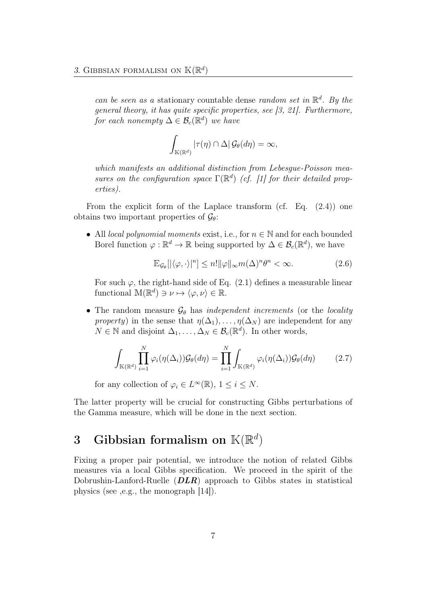can be seen as a stationary countable dense random set in  $\mathbb{R}^d$ . By the general theory, it has quite specific properties, see [3, 21]. Furthermore, for each nonempty  $\Delta \in \mathcal{B}_c(\mathbb{R}^d)$  we have

$$
\int_{\mathbb{K}(\mathbb{R}^d)} |\tau(\eta) \cap \Delta| \mathcal{G}_{\theta}(d\eta) = \infty,
$$

which manifests an additional distinction from Lebesgue-Poisson measures on the configuration space  $\Gamma(\mathbb{R}^d)$  (cf. [1] for their detailed properties).

From the explicit form of the Laplace transform (cf. Eq. (2.4)) one obtains two important properties of  $\mathcal{G}_{\theta}$ :

• All *local polynomial moments* exist, i.e., for  $n \in \mathbb{N}$  and for each bounded Borel function  $\varphi : \mathbb{R}^d \to \mathbb{R}$  being supported by  $\Delta \in \mathcal{B}_c(\mathbb{R}^d)$ , we have

$$
\mathbb{E}_{\mathcal{G}_{\theta}}[|\langle \varphi, \cdot \rangle|^{n}] \leq n! \|\varphi\|_{\infty} m(\Delta)^{n} \theta^{n} < \infty. \tag{2.6}
$$

For such  $\varphi$ , the right-hand side of Eq. (2.1) defines a measurable linear functional  $\mathbb{M}(\mathbb{R}^d) \ni \nu \mapsto \langle \varphi, \nu \rangle \in \mathbb{R}$ .

• The random measure  $\mathcal{G}_{\theta}$  has *independent increments* (or the *locality* property) in the sense that  $\eta(\Delta_1), \ldots, \eta(\Delta_N)$  are independent for any  $N \in \mathbb{N}$  and disjoint  $\Delta_1, \ldots, \Delta_N \in \mathcal{B}_c(\mathbb{R}^d)$ . In other words,

$$
\int_{\mathbb{K}(\mathbb{R}^d)} \prod_{i=1}^N \varphi_i(\eta(\Delta_i)) \mathcal{G}_{\theta}(d\eta) = \prod_{i=1}^N \int_{\mathbb{K}(\mathbb{R}^d)} \varphi_i(\eta(\Delta_i)) \mathcal{G}_{\theta}(d\eta) \tag{2.7}
$$

for any collection of  $\varphi_i \in L^{\infty}(\mathbb{R})$ ,  $1 \leq i \leq N$ .

The latter property will be crucial for constructing Gibbs perturbations of the Gamma measure, which will be done in the next section.

# 3 Gibbsian formalism on  $\mathbb{K}(\mathbb{R}^d)$

Fixing a proper pair potential, we introduce the notion of related Gibbs measures via a local Gibbs specification. We proceed in the spirit of the Dobrushin-Lanford-Ruelle  $(DLR)$  approach to Gibbs states in statistical physics (see ,e.g., the monograph [14]).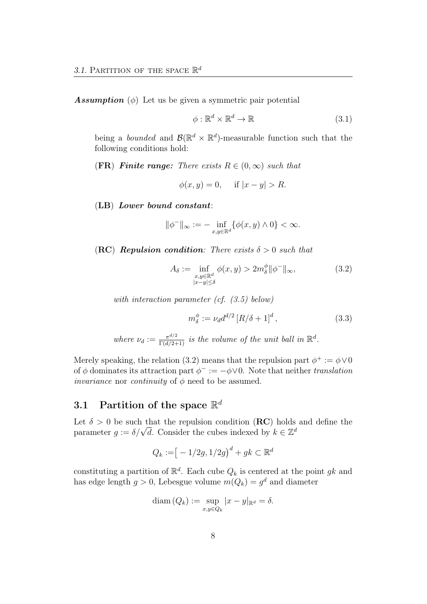**Assumption** ( $\phi$ ) Let us be given a symmetric pair potential

$$
\phi: \mathbb{R}^d \times \mathbb{R}^d \to \mathbb{R} \tag{3.1}
$$

being a *bounded* and  $\mathcal{B}(\mathbb{R}^d \times \mathbb{R}^d)$ -measurable function such that the following conditions hold:

#### **(FR)** Finite range: There exists  $R \in (0,\infty)$  such that

$$
\phi(x, y) = 0, \quad \text{if } |x - y| > R.
$$

(LB) Lower bound constant:

$$
\|\phi^-\|_\infty:=-\inf_{x,y\in\mathbb{R}^d}\{\phi(x,y)\wedge 0\}<\infty.
$$

(RC) Repulsion condition: There exists  $\delta > 0$  such that

$$
A_{\delta} := \inf_{\substack{x,y \in \mathbb{R}^d \\ |x-y| \le \delta}} \phi(x,y) > 2m_{\delta}^{\phi} ||\phi^-||_{\infty}, \tag{3.2}
$$

with interaction parameter (cf.  $(3.5)$  below)

$$
m_{\delta}^{\phi} := \nu_{d} d^{d/2} \left[ R/\delta + 1 \right]^{d}, \tag{3.3}
$$

where  $\nu_d := \frac{\pi^{d/2}}{\Gamma(d/2+1)}$  is the volume of the unit ball in  $\mathbb{R}^d$ .

Merely speaking, the relation (3.2) means that the repulsion part  $\phi^+ := \phi \vee 0$ of  $\phi$  dominates its attraction part  $\phi^- := -\phi \vee 0$ . Note that neither translation *invariance* nor *continuity* of  $\phi$  need to be assumed.

# 3.1 Partition of the space  $\mathbb{R}^d$

Let  $\delta > 0$  be such that the repulsion condition (**RC**) holds and define the Let  $\delta > 0$  be such that the repulsion condition (**KC**) holds<br>parameter  $g := \delta/\sqrt{d}$ . Consider the cubes indexed by  $k \in \mathbb{Z}^d$ 

$$
Q_k := [-1/2g, 1/2g)^d + gk \subset \mathbb{R}^d
$$

constituting a partition of  $\mathbb{R}^d$ . Each cube  $Q_k$  is centered at the point gk and has edge length  $g > 0$ , Lebesgue volume  $m(Q_k) = g^d$  and diameter

$$
\text{diam}\,(Q_k) := \sup_{x,y \in Q_k} |x - y|_{\mathbb{R}^d} = \delta.
$$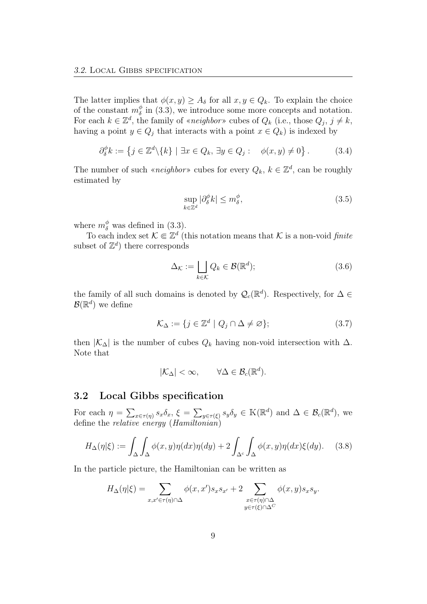The latter implies that  $\phi(x, y) \geq A_{\delta}$  for all  $x, y \in Q_k$ . To explain the choice of the constant  $m_{\delta}^{\phi}$  $\delta$  in (3.3), we introduce some more concepts and notation. For each  $k \in \mathbb{Z}^d$ , the family of «neighbor» cubes of  $Q_k$  (i.e., those  $Q_j$ ,  $j \neq k$ , having a point  $y \in Q_i$  that interacts with a point  $x \in Q_k$ ) is indexed by

$$
\partial_{\delta}^{\phi} k := \left\{ j \in \mathbb{Z}^d \backslash \{k\} \mid \exists x \in Q_k, \, \exists y \in Q_j : \quad \phi(x, y) \neq 0 \right\}. \tag{3.4}
$$

The number of such «*neighbor*» cubes for every  $Q_k$ ,  $k \in \mathbb{Z}^d$ , can be roughly estimated by

$$
\sup_{k \in \mathbb{Z}^d} |\partial_{\delta}^{\phi} k| \le m_{\delta}^{\phi},\tag{3.5}
$$

where  $m_{\delta}^{\phi}$  was defined in (3.3).

To each index set  $\mathcal{K} \Subset \mathbb{Z}^d$  (this notation means that K is a non-void finite subset of  $\mathbb{Z}^d$ ) there corresponds

$$
\Delta_{\mathcal{K}} := \bigsqcup_{k \in \mathcal{K}} Q_k \in \mathcal{B}(\mathbb{R}^d); \tag{3.6}
$$

the family of all such domains is denoted by  $\mathcal{Q}_c(\mathbb{R}^d)$ . Respectively, for  $\Delta \in$  $\mathcal{B}(\mathbb{R}^d)$  we define

$$
\mathcal{K}_{\Delta} := \{ j \in \mathbb{Z}^d \mid Q_j \cap \Delta \neq \varnothing \};\tag{3.7}
$$

then  $|K_\Delta|$  is the number of cubes  $Q_k$  having non-void intersection with  $\Delta$ . Note that

$$
|\mathcal{K}_{\Delta}| < \infty, \qquad \forall \Delta \in \mathcal{B}_c(\mathbb{R}^d).
$$

#### 3.2 Local Gibbs specification

For each  $\eta = \sum_{x \in \tau(\eta)} s_x \delta_x$ ,  $\xi = \sum_{y \in \tau(\xi)} s_y \delta_y \in \mathbb{K}(\mathbb{R}^d)$  and  $\Delta \in \mathcal{B}_c(\mathbb{R}^d)$ , we define the *relative energy* (*Hamiltonian*)

$$
H_{\Delta}(\eta|\xi) := \int_{\Delta} \int_{\Delta} \phi(x, y) \eta(dx) \eta(dy) + 2 \int_{\Delta^c} \int_{\Delta} \phi(x, y) \eta(dx) \xi(dy). \tag{3.8}
$$

In the particle picture, the Hamiltonian can be written as

$$
H_{\Delta}(\eta|\xi) = \sum_{x,x' \in \tau(\eta) \cap \Delta} \phi(x,x')s_x s_{x'} + 2 \sum_{\substack{x \in \tau(\eta) \cap \Delta \\ y \in \tau(\xi) \cap \Delta^C}} \phi(x,y)s_x s_y.
$$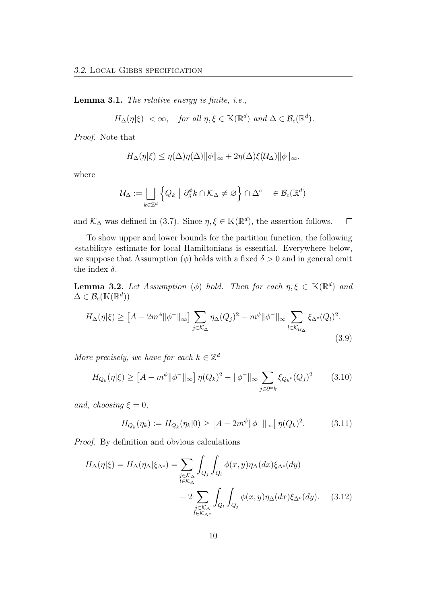Lemma 3.1. The relative energy is finite, i.e.,

$$
|H_{\Delta}(\eta|\xi)| < \infty, \quad \text{for all } \eta, \xi \in \mathbb{K}(\mathbb{R}^d) \text{ and } \Delta \in \mathcal{B}_c(\mathbb{R}^d).
$$

Proof. Note that

$$
H_{\Delta}(\eta|\xi) \leq \eta(\Delta)\eta(\Delta)\|\phi\|_{\infty} + 2\eta(\Delta)\xi(\mathcal{U}_{\Delta})\|\phi\|_{\infty},
$$

where

$$
\mathcal{U}_{\Delta} := \bigsqcup_{k \in \mathbb{Z}^d} \left\{ Q_k \mid \partial_{\delta}^{\phi} k \cap \mathcal{K}_{\Delta} \neq \varnothing \right\} \cap \Delta^c \quad \in \mathcal{B}_c(\mathbb{R}^d)
$$

and  $\mathcal{K}_{\Delta}$  was defined in (3.7). Since  $\eta, \xi \in \mathbb{K}(\mathbb{R}^d)$ , the assertion follows.  $\Box$ 

To show upper and lower bounds for the partition function, the following «stability» estimate for local Hamiltonians is essential. Everywhere below, we suppose that Assumption  $(\phi)$  holds with a fixed  $\delta > 0$  and in general omit the index  $\delta$ .

**Lemma 3.2.** Let Assumption ( $\phi$ ) hold. Then for each  $\eta, \xi \in \mathbb{K}(\mathbb{R}^d)$  and  $\Delta \in \mathcal{B}_c(\mathbb{K}(\mathbb{R}^d))$ 

$$
H_{\Delta}(\eta|\xi) \ge \left[A - 2m^{\phi} \|\phi^{-}\|_{\infty}\right] \sum_{j \in \mathcal{K}_{\Delta}} \eta_{\Delta}(Q_j)^2 - m^{\phi} \|\phi^{-}\|_{\infty} \sum_{l \in \mathcal{K}_{\mathcal{U}_{\Delta}}} \xi_{\Delta^c}(Q_l)^2.
$$
\n(3.9)

More precisely, we have for each  $k \in \mathbb{Z}^d$ 

$$
H_{Q_k}(\eta|\xi) \ge \left[ A - m^{\phi} \| \phi^- \|_{\infty} \right] \eta(Q_k)^2 - \| \phi^- \|_{\infty} \sum_{j \in \partial^{\phi} k} \xi_{Q_k} (Q_j)^2 \tag{3.10}
$$

and, choosing  $\xi = 0$ ,

$$
H_{Q_k}(\eta_k) := H_{Q_k}(\eta_k|0) \ge \left[A - 2m^{\phi} ||\phi^-||_{\infty}\right] \eta(Q_k)^2. \tag{3.11}
$$

Proof. By definition and obvious calculations

$$
H_{\Delta}(\eta|\xi) = H_{\Delta}(\eta_{\Delta}|\xi_{\Delta^c}) = \sum_{\substack{j \in \mathcal{K}_{\Delta} \\ l \in \mathcal{K}_{\Delta}}} \int_{Q_j} \int_{Q_l} \phi(x, y) \eta_{\Delta}(dx) \xi_{\Delta^c}(dy) + 2 \sum_{\substack{j \in \mathcal{K}_{\Delta} \\ l \in \mathcal{K}_{\Delta^c}}} \int_{Q_l} \int_{Q_j} \phi(x, y) \eta_{\Delta}(dx) \xi_{\Delta^c}(dy).
$$
 (3.12)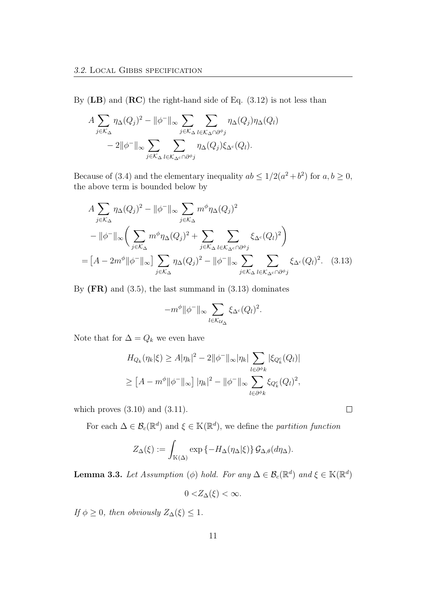By  $(LB)$  and  $(RC)$  the right-hand side of Eq.  $(3.12)$  is not less than

$$
A \sum_{j \in \mathcal{K}_{\Delta}} \eta_{\Delta}(Q_j)^2 - ||\phi^-||_{\infty} \sum_{j \in \mathcal{K}_{\Delta}} \sum_{l \in \mathcal{K}_{\Delta} \cap \partial^{\phi}j} \eta_{\Delta}(Q_j) \eta_{\Delta}(Q_l)
$$
  
- 2||\phi^-||\_{\infty} \sum\_{j \in \mathcal{K}\_{\Delta}} \sum\_{l \in \mathcal{K}\_{\Delta} \cap \partial^{\phi}j} \eta\_{\Delta}(Q\_j) \xi\_{\Delta^c}(Q\_l).

Because of (3.4) and the elementary inequality  $ab \leq 1/2(a^2+b^2)$  for  $a, b \geq 0$ , the above term is bounded below by

$$
A \sum_{j \in \mathcal{K}_{\Delta}} \eta_{\Delta}(Q_j)^2 - ||\phi^-||_{\infty} \sum_{j \in \mathcal{K}_{\Delta}} m^{\phi} \eta_{\Delta}(Q_j)^2
$$
  

$$
- ||\phi^-||_{\infty} \left( \sum_{j \in \mathcal{K}_{\Delta}} m^{\phi} \eta_{\Delta}(Q_j)^2 + \sum_{j \in \mathcal{K}_{\Delta}} \sum_{l \in \mathcal{K}_{\Delta^{c}} \cap \partial^{\phi} j} \xi_{\Delta^c}(Q_l)^2 \right)
$$
  

$$
= [A - 2m^{\phi} ||\phi^-||_{\infty}] \sum_{j \in \mathcal{K}_{\Delta}} \eta_{\Delta}(Q_j)^2 - ||\phi^-||_{\infty} \sum_{j \in \mathcal{K}_{\Delta}} \sum_{l \in \mathcal{K}_{\Delta^{c}} \cap \partial^{\phi} j} \xi_{\Delta^c}(Q_l)^2. \quad (3.13)
$$

By  $(FR)$  and  $(3.5)$ , the last summand in  $(3.13)$  dominates

$$
-m^{\phi}\|\phi^-\|_{\infty}\sum_{l\in \mathcal{K}_{\mathcal{U}_{\Delta}}}\xi_{\Delta^c}(Q_l)^2.
$$

Note that for  $\Delta = Q_k$  we even have

$$
H_{Q_k}(\eta_k|\xi) \ge A|\eta_k|^2 - 2||\phi^-||_{\infty}|\eta_k| \sum_{l \in \partial^{\phi_k}} |\xi_{Q_k^c}(Q_l)|
$$
  

$$
\ge [A - m^{\phi}||\phi^-||_{\infty}] |\eta_k|^2 - ||\phi^-||_{\infty} \sum_{l \in \partial^{\phi_k}} \xi_{Q_k^c}(Q_l)^2,
$$

which proves  $(3.10)$  and  $(3.11)$ .

For each  $\Delta \in \mathcal{B}_c(\mathbb{R}^d)$  and  $\xi \in \mathbb{K}(\mathbb{R}^d)$ , we define the partition function

$$
Z_{\Delta}(\xi) := \int_{\mathbb{K}(\Delta)} \exp \{-H_{\Delta}(\eta_{\Delta}|\xi)\} \mathcal{G}_{\Delta,\theta}(d\eta_{\Delta}).
$$

**Lemma 3.3.** Let Assumption ( $\phi$ ) hold. For any  $\Delta \in \mathcal{B}_c(\mathbb{R}^d)$  and  $\xi \in \mathbb{K}(\mathbb{R}^d)$ 

$$
0 < Z_{\Delta}(\xi) < \infty.
$$

If  $\phi \geq 0$ , then obviously  $Z_{\Delta}(\xi) \leq 1$ .

 $\Box$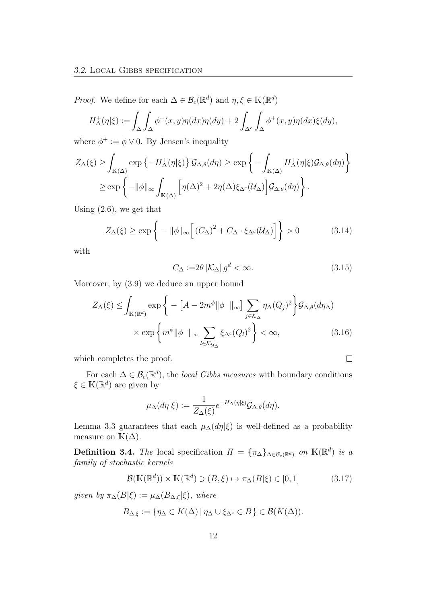*Proof.* We define for each  $\Delta \in \mathcal{B}_c(\mathbb{R}^d)$  and  $\eta, \xi \in \mathbb{K}(\mathbb{R}^d)$ 

$$
H_{\Delta}^{+}(\eta|\xi) := \int_{\Delta} \int_{\Delta} \phi^{+}(x, y) \eta(dx) \eta(dy) + 2 \int_{\Delta^{c}} \int_{\Delta} \phi^{+}(x, y) \eta(dx) \xi(dy),
$$

where  $\phi^+ := \phi \vee 0$ . By Jensen's inequality

$$
Z_{\Delta}(\xi) \ge \int_{\mathbb{K}(\Delta)} \exp \left\{-H_{\Delta}^{+}(\eta|\xi)\right\} \mathcal{G}_{\Delta,\theta}(d\eta) \ge \exp \left\{-\int_{\mathbb{K}(\Delta)} H_{\Delta}^{+}(\eta|\xi) \mathcal{G}_{\Delta,\theta}(d\eta)\right\}
$$

$$
\ge \exp \left\{-\|\phi\|_{\infty} \int_{\mathbb{K}(\Delta)} \left[\eta(\Delta)^{2} + 2\eta(\Delta)\xi_{\Delta^{c}}(\mathcal{U}_{\Delta})\right] \mathcal{G}_{\Delta,\theta}(d\eta)\right\}.
$$

Using (2.6), we get that

$$
Z_{\Delta}(\xi) \ge \exp\left\{-\|\phi\|_{\infty} \Big[ \left(C_{\Delta}\right)^2 + C_{\Delta} \cdot \xi_{\Delta^c}(\mathcal{U}_{\Delta}) \Big] \right\} > 0 \tag{3.14}
$$

with

$$
C_{\Delta} := 2\theta \left| \mathcal{K}_{\Delta} \right| g^d < \infty. \tag{3.15}
$$

 $\Box$ 

Moreover, by (3.9) we deduce an upper bound

$$
Z_{\Delta}(\xi) \leq \int_{\mathbb{K}(\mathbb{R}^{d})} \exp\left\{-\left[A - 2m^{\phi} ||\phi^{-}||_{\infty}\right] \sum_{j \in \mathcal{K}_{\Delta}} \eta_{\Delta}(Q_{j})^{2}\right\} \mathcal{G}_{\Delta,\theta}(d\eta_{\Delta})
$$

$$
\times \exp\left\{m^{\phi} ||\phi^{-}||_{\infty} \sum_{l \in \mathcal{K}_{\mathcal{U}_{\Delta}}} \xi_{\Delta^{c}}(Q_{l})^{2}\right\} < \infty, \tag{3.16}
$$

which completes the proof.

For each  $\Delta \in \mathcal{B}_c(\mathbb{R}^d)$ , the *local Gibbs measures* with boundary conditions  $\xi \in K(\mathbb{R}^d)$  are given by

$$
\mu_{\Delta}(d\eta|\xi) := \frac{1}{Z_{\Delta}(\xi)} e^{-H_{\Delta}(\eta|\xi)} \mathcal{G}_{\Delta,\theta}(d\eta).
$$

Lemma 3.3 guarantees that each  $\mu_{\Delta}(d\eta|\xi)$  is well-defined as a probability measure on  $\mathbb{K}(\Delta)$ .

**Definition 3.4.** The local specification  $\Pi = {\{\pi_{\Delta}\}_{{\Delta \in \mathcal{B}_c}(\mathbb{R}^d)} \text{ on } \mathbb{K}(\mathbb{R}^d) \text{ is a}}$ family of stochastic kernels

$$
\mathcal{B}(\mathbb{K}(\mathbb{R}^d)) \times \mathbb{K}(\mathbb{R}^d) \ni (B,\xi) \mapsto \pi_{\Delta}(B|\xi) \in [0,1]
$$
 (3.17)

given by  $\pi_{\Delta}(B|\xi) := \mu_{\Delta}(B_{\Delta,\xi}|\xi)$ , where

$$
B_{\Delta,\xi} := \{ \eta_\Delta \in K(\Delta) \, | \, \eta_\Delta \cup \xi_{\Delta^c} \in B \} \in \mathcal{B}(K(\Delta)).
$$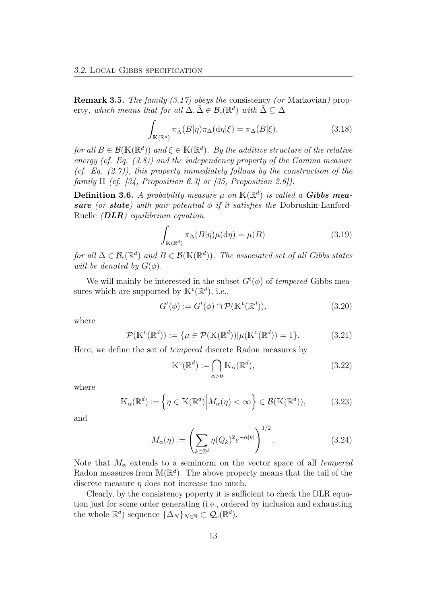Remark 3.5. The family (3.17) obeys the consistency (or Markovian) property, which means that for all  $\Delta, \tilde{\Delta} \in \mathcal{B}_c(\mathbb{R}^d)$  with  $\tilde{\Delta} \subseteq \Delta$ 

$$
\int_{\mathbb{K}(\mathbb{R}^d)} \pi_{\tilde{\Delta}}(B|\eta)\pi_{\Delta}(\mathrm{d}\eta|\xi) = \pi_{\Delta}(B|\xi),\tag{3.18}
$$

for all  $B \in \mathcal{B}(\mathbb{K}(\mathbb{R}^d))$  and  $\xi \in \mathbb{K}(\mathbb{R}^d)$ . By the additive structure of the relative energy (cf. Eq. (3.8)) and the independency property of the Gamma measure (cf. Eq.  $(2.7)$ ), this property immediately follows by the construction of the family  $\Pi$  (cf. [34, Proposition 6.3] or [35, Proposition 2.6]).

**Definition 3.6.** A probability measure  $\mu$  on  $\mathbb{K}(\mathbb{R}^d)$  is called a **Gibbs mea**sure (or state) with pair potential  $\phi$  if it satisfies the Dobrushin-Lanford-Ruelle  $(DLR)$  equilibrium equation

$$
\int_{\mathbb{K}(\mathbb{R}^d)} \pi_{\Delta}(B|\eta)\mu(\mathrm{d}\eta) = \mu(B)
$$
\n(3.19)

for all  $\Delta \in \mathcal{B}_c(\mathbb{R}^d)$  and  $B \in \mathcal{B}(\mathbb{K}(\mathbb{R}^d))$ . The associated set of all Gibbs states will be denoted by  $G(\phi)$ .

We will mainly be interested in the subset  $G<sup>t</sup>(\phi)$  of *tempered* Gibbs measures which are supported by  $\mathbb{K}^{\mathbf{t}}(\mathbb{R}^d)$ , i.e.,

$$
G^{t}(\phi) := G^{t}(\phi) \cap \mathcal{P}(\mathbb{K}^{\mathbf{t}}(\mathbb{R}^{d})),\tag{3.20}
$$

where

$$
\mathcal{P}(\mathbb{K}^{\mathsf{t}}(\mathbb{R}^d)) := \{ \mu \in \mathcal{P}(\mathbb{K}(\mathbb{R}^d)) | \mu(\mathbb{K}^{\mathsf{t}}(\mathbb{R}^d)) = 1 \}. \tag{3.21}
$$

Here, we define the set of tempered discrete Radon measures by

$$
\mathbb{K}^{\mathbf{t}}(\mathbb{R}^d) := \bigcap_{\alpha > 0} \mathbb{K}_{\alpha}(\mathbb{R}^d),\tag{3.22}
$$

where

$$
\mathbb{K}_{\alpha}(\mathbb{R}^d) := \left\{ \eta \in \mathbb{K}(\mathbb{R}^d) \middle| M_{\alpha}(\eta) < \infty \right\} \in \mathcal{B}(\mathbb{K}(\mathbb{R}^d)),\tag{3.23}
$$

and

$$
M_{\alpha}(\eta) := \left(\sum_{k \in \mathbb{Z}^d} \eta(Q_k)^2 e^{-\alpha |k|}\right)^{1/2}.
$$
 (3.24)

Note that  $M_{\alpha}$  extends to a seminorm on the vector space of all tempered Radon measures from  $\mathbb{M}(\mathbb{R}^d)$ . The above property means that the tail of the discrete measure  $\eta$  does not increase too much.

Clearly, by the consistency poperty it is sufficient to check the DLR equation just for some order generating (i.e., ordered by inclusion and exhausting the whole  $\mathbb{R}^d$ ) sequence  $\{\Delta_N\}_{N\in\mathbb{N}}\subset \mathcal{Q}_c(\mathbb{R}^d)$ .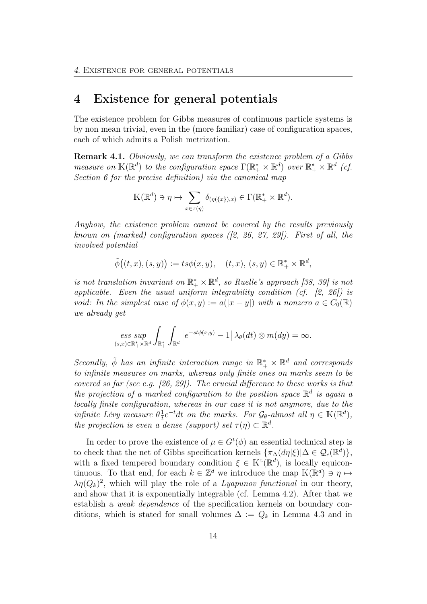# 4 Existence for general potentials

The existence problem for Gibbs measures of continuous particle systems is by non mean trivial, even in the (more familiar) case of configuration spaces, each of which admits a Polish metrization.

Remark 4.1. Obviously, we can transform the existence problem of a Gibbs measure on  $\mathbb{K}(\mathbb{R}^d)$  to the configuration space  $\Gamma(\mathbb{R}_+^* \times \mathbb{R}^d)$  over  $\mathbb{R}_+^* \times \mathbb{R}^d$  (cf. Section 6 for the precise definition) via the canonical map

$$
\mathbb{K}(\mathbb{R}^d) \ni \eta \mapsto \sum_{x \in \tau(\eta)} \delta_{(\eta(\{x\}),x)} \in \Gamma(\mathbb{R}^*_+ \times \mathbb{R}^d).
$$

Anyhow, the existence problem cannot be covered by the results previously known on (marked) configuration spaces  $(2, 26, 27, 29)$ . First of all, the involved potential

$$
\tilde{\phi}((t,x),(s,y)):=ts\phi(x,y),\quad (t,x),(s,y)\in\mathbb{R}_+^*\times\mathbb{R}^d,
$$

is not translation invariant on  $\mathbb{R}_+^* \times \mathbb{R}^d$ , so Ruelle's approach [38, 39] is not applicable. Even the usual uniform integrability condition (cf.  $[2, 26]$ ) is void: In the simplest case of  $\phi(x, y) := a(|x - y|)$  with a nonzero  $a \in C_0(\mathbb{R})$ we already get

$$
\mathop{ess\; sup}\limits_{(s,x)\in\mathbb{R}^*_+\times\mathbb{R}^d}\int_{\mathbb{R}^*_+}\int_{\mathbb{R}^d}\left|e^{-st\phi(x,y)}-1\right|\lambda_\theta(dt)\otimes m(dy)=\infty.
$$

Secondly,  $\tilde{\phi}$  has an infinite interaction range in  $\mathbb{R}_+^* \times \mathbb{R}^d$  and corresponds to infinite measures on marks, whereas only finite ones on marks seem to be covered so far (see e.g. [26, 29]). The crucial difference to these works is that the projection of a marked configuration to the position space  $\mathbb{R}^d$  is again a locally finite configuration, whereas in our case it is not anymore, due to the infinite Lévy measure  $\theta_{t}^{\perp}$  $\frac{1}{t}e^{-t}dt$  on the marks. For  $\mathcal{G}_{\theta}$ -almost all  $\eta \in \mathbb{K}(\mathbb{R}^d)$ , the projection is even a dense (support) set  $\tau(\eta) \subset \mathbb{R}^d$ .

In order to prove the existence of  $\mu \in G^t(\phi)$  an essential technical step is to check that the net of Gibbs specification kernels  $\{\pi_{\Delta}(d\eta|\xi)|\Delta \in \mathcal{Q}_c(\mathbb{R}^d)\},$ with a fixed tempered boundary condition  $\xi \in K^{\mathsf{t}}(\mathbb{R}^d)$ , is locally equicontinuous. To that end, for each  $k \in \mathbb{Z}^d$  we introduce the map  $\mathbb{K}(\mathbb{R}^d) \ni \eta \mapsto$  $\lambda \eta(Q_k)^2$ , which will play the role of a *Lyapunov functional* in our theory, and show that it is exponentially integrable (cf. Lemma 4.2). After that we establish a weak dependence of the specification kernels on boundary conditions, which is stated for small volumes  $\Delta := Q_k$  in Lemma 4.3 and in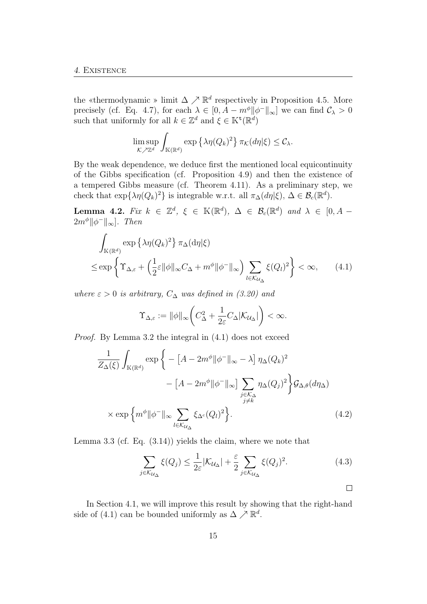the «thermodynamic » limit  $\Delta \nearrow \mathbb{R}^d$  respectively in Proposition 4.5. More precisely (cf. Eq. 4.7), for each  $\lambda \in [0, A - m^{\phi} || \phi^- ||_{\infty}]$  we can find  $\mathcal{C}_{\lambda} > 0$ such that uniformly for all  $k \in \mathbb{Z}^d$  and  $\xi \in \mathbb{K}^{\mathsf{t}}(\mathbb{R}^d)$ 

$$
\limsup_{\mathcal{K}\nearrow\mathbb{Z}^d} \int_{\mathbb{K}(\mathbb{R}^d)} \exp\left\{\lambda \eta(Q_k)^2\right\} \pi_{\mathcal{K}}(d\eta|\xi) \leq \mathcal{C}_{\lambda}.
$$

By the weak dependence, we deduce first the mentioned local equicontinuity of the Gibbs specification (cf. Proposition 4.9) and then the existence of a tempered Gibbs measure (cf. Theorem 4.11). As a preliminary step, we check that  $\exp{\{\lambda \eta(Q_k)^2\}}$  is integrable w.r.t. all  $\pi_{\Delta}(d\eta|\xi)$ ,  $\Delta \in \mathcal{B}_c(\mathbb{R}^d)$ .

**Lemma 4.2.** Fix  $k \in \mathbb{Z}^d$ ,  $\xi \in \mathbb{K}(\mathbb{R}^d)$ ,  $\Delta \in \mathcal{B}_c(\mathbb{R}^d)$  and  $\lambda \in [0, A 2m^{\phi}$ || $\phi^-$ ||<sub>∞</sub>]. Then

$$
\int_{\mathbb{K}(\mathbb{R}^d)} \exp \left\{ \lambda \eta(Q_k)^2 \right\} \pi_{\Delta}(\mathrm{d}\eta | \xi)
$$
\n
$$
\leq \exp \left\{ \Upsilon_{\Delta,\varepsilon} + \left( \frac{1}{2} \varepsilon \|\phi\|_{\infty} C_{\Delta} + m^{\phi} \|\phi^{-}\|_{\infty} \right) \sum_{l \in \mathcal{K}_{\mathcal{U}_{\Delta}}} \xi(Q_l)^2 \right\} < \infty, \qquad (4.1)
$$

where  $\varepsilon > 0$  is arbitrary,  $C_{\Delta}$  was defined in (3.20) and

$$
\Upsilon_{\Delta,\varepsilon} := \|\phi\|_{\infty} \bigg( C_{\Delta}^2 + \frac{1}{2\varepsilon} C_{\Delta} |\mathcal{K}_{\mathcal{U}_{\Delta}}| \bigg) < \infty.
$$

Proof. By Lemma 3.2 the integral in (4.1) does not exceed

$$
\frac{1}{Z_{\Delta}(\xi)} \int_{\mathbb{K}(\mathbb{R}^d)} \exp \left\{ - \left[ A - 2m^{\phi} \| \phi^- \|_{\infty} - \lambda \right] \eta_{\Delta} (Q_k)^2 - \left[ A - 2m^{\phi} \| \phi^- \|_{\infty} \right] \sum_{\substack{j \in \mathcal{K}_{\Delta} \\ j \neq k}} \eta_{\Delta} (Q_j)^2 \right\} \mathcal{G}_{\Delta, \theta}(d\eta_{\Delta})
$$
\n
$$
\times \exp \left\{ m^{\phi} \| \phi^- \|_{\infty} \sum_{l \in \mathcal{K}_{\mathcal{U}_{\Delta}}} \xi_{\Delta^c} (Q_l)^2 \right\}. \tag{4.2}
$$

Lemma 3.3 (cf. Eq. (3.14)) yields the claim, where we note that

$$
\sum_{j \in \mathcal{K}_{\mathcal{U}_{\Delta}}} \xi(Q_j) \le \frac{1}{2\varepsilon} |\mathcal{K}_{\mathcal{U}_{\Delta}}| + \frac{\varepsilon}{2} \sum_{j \in \mathcal{K}_{\mathcal{U}_{\Delta}}} \xi(Q_j)^2.
$$
\n(4.3)

In Section 4.1, we will improve this result by showing that the right-hand side of (4.1) can be bounded uniformly as  $\Delta \nearrow \mathbb{R}^d$ .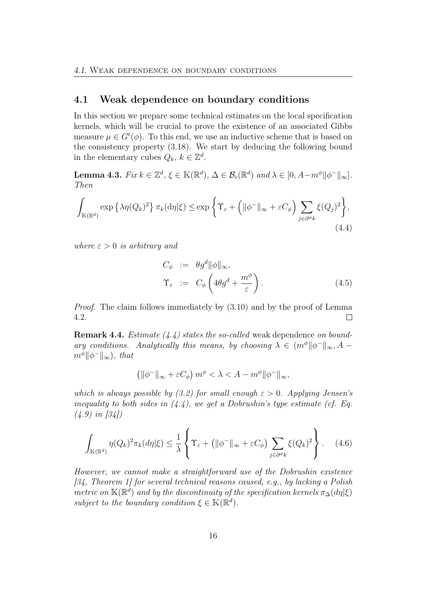#### 4.1 Weak dependence on boundary conditions

In this section we prepare some technical estimates on the local specification kernels, which will be crucial to prove the existence of an associated Gibbs measure  $\mu \in G^t(\phi)$ . To this end, we use an inductive scheme that is based on the consistency property (3.18). We start by deducing the following bound in the elementary cubes  $Q_k, k \in \mathbb{Z}^d$ .

Lemma 4.3.  $Fix k \in \mathbb{Z}^d$ ,  $\xi \in \mathbb{K}(\mathbb{R}^d)$ ,  $\Delta \in \mathcal{B}_c(\mathbb{R}^d)$  and  $\lambda \in [0, A-m^{\phi}||\phi^-||_{\infty}]$ . Then

$$
\int_{\mathbb{K}(\mathbb{R}^d)} \exp\left\{\lambda \eta(Q_k)^2\right\} \pi_k(\mathrm{d}\eta|\xi) \le \exp\left\{\Upsilon_{\varepsilon} + \left(\|\phi^-\|_{\infty} + \varepsilon C_{\phi}\right) \sum_{j \in \partial^{\phi_k}} \xi(Q_j)^2\right\},\tag{4.4}
$$

where  $\varepsilon > 0$  is arbitrary and

$$
C_{\phi} := \theta g^{d} ||\phi||_{\infty},
$$
  
\n
$$
\Upsilon_{\varepsilon} := C_{\phi} \left( 4\theta g^{d} + \frac{m^{\phi}}{\varepsilon} \right).
$$
\n(4.5)

Proof. The claim follows immediately by (3.10) and by the proof of Lemma 4.2. П

**Remark 4.4.** Estimate  $(4.4)$  states the so-called weak dependence on boundary conditions. Analytically this means, by choosing  $\lambda \in (m^{\phi} || \phi^- ||_{\infty}, A$  $m^{\phi}$ || $\phi^-$ || $\infty$ ), that

$$
\left(\|\phi^-\|_{\infty} + \varepsilon C_{\phi}\right)m^{\phi} < \lambda < A - m^{\phi} \|\phi^-\|_{\infty},
$$

which is always possible by (3.2) for small enough  $\varepsilon > 0$ . Applying Jensen's inequality to both sides in  $(4.4)$ , we get a Dobrushin's type estimate (cf. Eq.  $(4.9)$  in  $[34]$ 

$$
\int_{\mathbb{K}(\mathbb{R}^d)} \eta(Q_k)^2 \pi_k(d\eta|\xi) \le \frac{1}{\lambda} \left\{ \Upsilon_{\varepsilon} + \left( \|\phi^-\|_{\infty} + \varepsilon C_{\phi} \right) \sum_{j \in \partial^{\phi_k}} \xi(Q_k)^2 \right\}.
$$
 (4.6)

However, we cannot make a straightforward use of the Dobrushin existence  $[34, Theorem 1]$  for several technical reasons caused, e.g., by lacking a Polish metric on  $\mathbb{K}(\mathbb{R}^d)$  and by the discontinuity of the specification kernels  $\pi_{\Delta}(d\eta|\xi)$ subject to the boundary condition  $\xi \in K(\mathbb{R}^d)$ .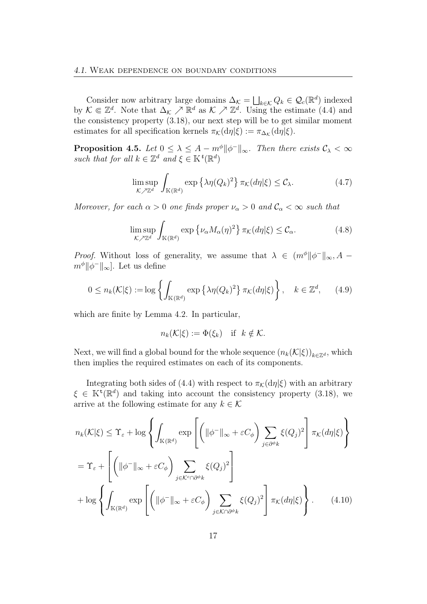Consider now arbitrary large domains  $\Delta_{\mathcal{K}} = \bigsqcup_{k \in \mathcal{K}} Q_k \in \mathcal{Q}_c(\mathbb{R}^d)$  indexed by  $\mathcal{K} \Subset \mathbb{Z}^d$ . Note that  $\Delta_{\mathcal{K}} \nearrow \mathbb{R}^d$  as  $\mathcal{K} \nearrow \mathbb{Z}^d$ . Using the estimate (4.4) and the consistency property (3.18), our next step will be to get similar moment estimates for all specification kernels  $\pi_{\mathcal{K}}(\mathrm{d}\eta|\xi) := \pi_{\Delta_{\mathcal{K}}}(\mathrm{d}\eta|\xi)$ .

**Proposition 4.5.** Let  $0 \leq \lambda \leq A - m^{\phi} ||\phi^{-}||_{\infty}$ . Then there exists  $\mathcal{C}_{\lambda} < \infty$ such that for all  $k \in \mathbb{Z}^d$  and  $\xi \in \mathbb{K}^t(\mathbb{R}^d)$ 

$$
\limsup_{\mathcal{K}\nearrow\mathbb{Z}^d} \int_{\mathbb{K}(\mathbb{R}^d)} \exp\left\{\lambda \eta(Q_k)^2\right\} \pi_{\mathcal{K}}(d\eta|\xi) \leq \mathcal{C}_{\lambda}.\tag{4.7}
$$

Moreover, for each  $\alpha > 0$  one finds proper  $\nu_{\alpha} > 0$  and  $\mathcal{C}_{\alpha} < \infty$  such that

$$
\limsup_{\mathcal{K}\nearrow\mathbb{Z}^d} \int_{\mathbb{K}(\mathbb{R}^d)} \exp\left\{\nu_\alpha M_\alpha(\eta)^2\right\} \pi_{\mathcal{K}}(d\eta|\xi) \leq \mathcal{C}_\alpha. \tag{4.8}
$$

*Proof.* Without loss of generality, we assume that  $\lambda \in (m^{\phi} || \phi^- ||_{\infty}, A$  $m^{\phi}$ || $\phi^-$ || $_{\infty}$ ]. Let us define

$$
0 \le n_k(\mathcal{K}|\xi) := \log \left\{ \int_{\mathbb{K}(\mathbb{R}^d)} \exp \left\{ \lambda \eta(Q_k)^2 \right\} \pi_{\mathcal{K}}(d\eta|\xi) \right\}, \quad k \in \mathbb{Z}^d, \qquad (4.9)
$$

which are finite by Lemma 4.2. In particular,

$$
n_k(\mathcal{K}|\xi) := \Phi(\xi_k) \quad \text{if} \quad k \notin \mathcal{K}.
$$

Next, we will find a global bound for the whole sequence  $(n_k(\mathcal{K}|\xi))_{k\in\mathbb{Z}^d}$ , which then implies the required estimates on each of its components.

Integrating both sides of (4.4) with respect to  $\pi_K(\mathrm{d}\eta|\xi)$  with an arbitrary  $\xi \in \mathbb{K}^{t}(\mathbb{R}^{d})$  and taking into account the consistency property (3.18), we arrive at the following estimate for any  $k \in \mathcal{K}$ 

$$
n_{k}(\mathcal{K}|\xi) \leq \Upsilon_{\varepsilon} + \log \left\{ \int_{\mathbb{K}(\mathbb{R}^{d})} \exp \left[ \left( \|\phi^{-}\|_{\infty} + \varepsilon C_{\phi} \right) \sum_{j \in \partial^{\phi} k} \xi(Q_{j})^{2} \right] \pi_{\mathcal{K}}(d\eta|\xi) \right\}
$$
  

$$
= \Upsilon_{\varepsilon} + \left[ \left( \|\phi^{-}\|_{\infty} + \varepsilon C_{\phi} \right) \sum_{j \in \mathcal{K}^c \cap \partial^{\phi} k} \xi(Q_{j})^{2} \right]
$$
  

$$
+ \log \left\{ \int_{\mathbb{K}(\mathbb{R}^{d})} \exp \left[ \left( \|\phi^{-}\|_{\infty} + \varepsilon C_{\phi} \right) \sum_{j \in \mathcal{K} \cap \partial^{\phi} k} \xi(Q_{j})^{2} \right] \pi_{\mathcal{K}}(d\eta|\xi) \right\}.
$$
 (4.10)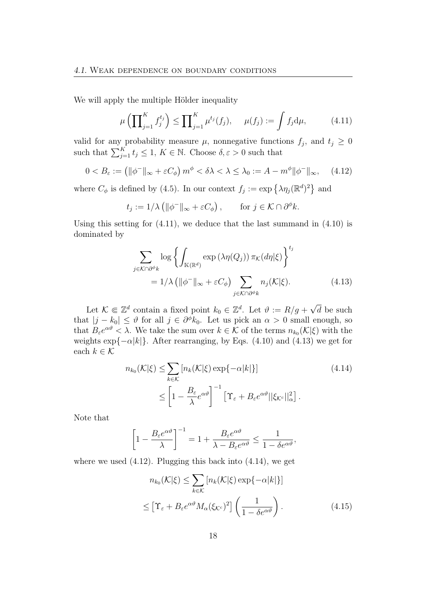We will apply the multiple Hölder inequality

$$
\mu\left(\prod_{j=1}^K f_j^{t_j}\right) \le \prod_{j=1}^K \mu^{t_j}(f_j), \quad \mu(f_j) := \int f_j d\mu,\tag{4.11}
$$

valid for any probability measure  $\mu$ , nonnegative functions  $f_j$ , and  $t_j \geq 0$ such that  $\sum_{j=1}^K t_j \leq 1, K \in \mathbb{N}$ . Choose  $\delta, \varepsilon > 0$  such that

$$
0 < B_{\varepsilon} := \left( \|\phi^-\|_{\infty} + \varepsilon C_{\phi} \right) m^{\phi} < \delta\lambda < \lambda \le \lambda_0 := A - m^{\phi} \|\phi^-\|_{\infty}, \quad (4.12)
$$

where  $C_{\phi}$  is defined by (4.5). In our context  $f_j := \exp \{ \lambda \eta_j (\mathbb{R}^d)^2 \}$  and

$$
t_j := 1/\lambda \left( \|\phi^-\|_{\infty} + \varepsilon C_{\phi} \right), \quad \text{for } j \in \mathcal{K} \cap \partial^{\phi} k.
$$

Using this setting for  $(4.11)$ , we deduce that the last summand in  $(4.10)$  is dominated by

$$
\sum_{j \in \mathcal{K} \cap \partial^{\phi} k} \log \left\{ \int_{\mathbb{K}(\mathbb{R}^d)} \exp \left( \lambda \eta(Q_j) \right) \pi_{\mathcal{K}}(d\eta | \xi) \right\}^{t_j} \n= 1/\lambda \left( \|\phi^-\|_{\infty} + \varepsilon C_{\phi} \right) \sum_{j \in \mathcal{K} \cap \partial^{\phi} k} n_j(\mathcal{K} | \xi).
$$
\n(4.13)

Let  $\mathcal{K} \Subset \mathbb{Z}^d$  contain a fixed point  $k_0 \in \mathbb{Z}^d$ . Let  $\vartheta := R/g +$ √ d be such that  $|j - k_0| \leq \vartheta$  for all  $j \in \partial^{\phi} k_0$ . Let us pick an  $\alpha > 0$  small enough, so that  $B_{\varepsilon}e^{\alpha\vartheta} < \lambda$ . We take the sum over  $k \in \mathcal{K}$  of the terms  $n_{k_0}(\mathcal{K}|\xi)$  with the weights  $\exp\{-\alpha |k|\}$ . After rearranging, by Eqs. (4.10) and (4.13) we get for each  $k \in \mathcal{K}$ 

$$
n_{k_0}(\mathcal{K}|\xi) \le \sum_{k \in \mathcal{K}} \left[ n_k(\mathcal{K}|\xi) \exp\{-\alpha |k| \right] \tag{4.14}
$$

$$
\le \left[ 1 - \frac{B_{\varepsilon}}{\lambda} e^{\alpha \vartheta} \right]^{-1} \left[ \Upsilon_{\varepsilon} + B_{\varepsilon} e^{\alpha \vartheta} ||\xi_{\mathcal{K}^c}||_{\alpha}^2 \right].
$$

Note that

$$
\left[1 - \frac{B_{\varepsilon}e^{\alpha\vartheta}}{\lambda}\right]^{-1} = 1 + \frac{B_{\varepsilon}e^{\alpha\vartheta}}{\lambda - B_{\varepsilon}e^{\alpha\vartheta}} \le \frac{1}{1 - \delta e^{\alpha\vartheta}},
$$

where we used  $(4.12)$ . Plugging this back into  $(4.14)$ , we get

$$
n_{k_0}(\mathcal{K}|\xi) \le \sum_{k \in \mathcal{K}} \left[ n_k(\mathcal{K}|\xi) \exp\{-\alpha |k| \right] \}
$$
  

$$
\le \left[ \Upsilon_{\varepsilon} + B_{\varepsilon} e^{\alpha \vartheta} M_{\alpha}(\xi_{\mathcal{K}^c})^2 \right] \left( \frac{1}{1 - \delta e^{\alpha \vartheta}} \right). \tag{4.15}
$$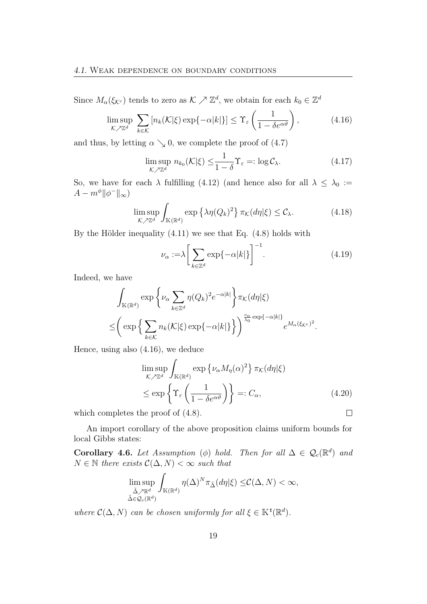Since  $M_{\alpha}(\xi_{\mathcal{K}c})$  tends to zero as  $\mathcal{K} \nearrow \mathbb{Z}^d$ , we obtain for each  $k_0 \in \mathbb{Z}^d$ 

$$
\limsup_{\mathcal{K}\nearrow\mathbb{Z}^d} \sum_{k\in\mathcal{K}} \left[ n_k(\mathcal{K}|\xi) \exp\{-\alpha |k| \} \right] \leq \Upsilon_{\varepsilon} \left( \frac{1}{1 - \delta e^{\alpha \vartheta}} \right),\tag{4.16}
$$

and thus, by letting  $\alpha \searrow 0$ , we complete the proof of (4.7)

$$
\limsup_{\mathcal{K}\nearrow\mathbb{Z}^d} n_{k_0}(\mathcal{K}|\xi) \leq \frac{1}{1-\delta} \Upsilon_{\varepsilon} =: \log \mathcal{C}_{\lambda}.
$$
\n(4.17)

So, we have for each  $\lambda$  fulfilling (4.12) (and hence also for all  $\lambda \leq \lambda_0 :=$  $A - m^{\phi} \|\phi^-\|_{\infty}$ 

$$
\limsup_{\mathcal{K}\nearrow\mathbb{Z}^d} \int_{\mathbb{K}(\mathbb{R}^d)} \exp\left\{\lambda \eta(Q_k)^2\right\} \pi_{\mathcal{K}}(d\eta|\xi) \leq \mathcal{C}_{\lambda}.\tag{4.18}
$$

By the Hölder inequality (4.11) we see that Eq. (4.8) holds with

$$
\nu_{\alpha} := \lambda \left[ \sum_{k \in \mathbb{Z}^d} \exp\{-\alpha |k| \} \right]^{-1}.
$$
\n(4.19)

Indeed, we have

$$
\int_{\mathbb{K}(\mathbb{R}^d)} \exp\left\{\nu_{\alpha} \sum_{k \in \mathbb{Z}^d} \eta(Q_k)^2 e^{-\alpha |k|} \right\} \pi_{\mathcal{K}}(d\eta | \xi)
$$
  

$$
\leq \left( \exp\left\{\sum_{k \in \mathcal{K}} n_k(\mathcal{K}|\xi) \exp\{-\alpha |k| \} \right\} \right)^{\frac{v_{\alpha}}{\lambda_0} \exp\{-\alpha |k| \}} e^{M_{\alpha}(\xi_{\mathcal{K}^c})^2}.
$$

Hence, using also (4.16), we deduce

$$
\limsup_{\mathcal{K}\nearrow\mathbb{Z}^d} \int_{\mathbb{K}(\mathbb{R}^d)} \exp\left\{\nu_\alpha M_\eta(\alpha)^2\right\} \pi_{\mathcal{K}}(d\eta|\xi)
$$
\n
$$
\leq \exp\left\{\Upsilon_\varepsilon\left(\frac{1}{1-\delta e^{\alpha\vartheta}}\right)\right\} =: C_\alpha,
$$
\n(4.20)

\nthe proof of (4.8).

which completes the proof of (4.8).

An import corollary of the above proposition claims uniform bounds for local Gibbs states:

**Corollary 4.6.** Let Assumption ( $\phi$ ) hold. Then for all  $\Delta \in \mathcal{Q}_c(\mathbb{R}^d)$  and  $N \in \mathbb{N}$  there exists  $\mathcal{C}(\Delta, N) < \infty$  such that

$$
\limsup_{\substack{\tilde{\Delta}\nearrow\mathbb{R}^d\\\tilde{\Delta}\in\mathcal{Q}_c(\mathbb{R}^d)}} \int_{\mathbb{K}(\mathbb{R}^d)} \eta(\Delta)^N \pi_{\tilde{\Delta}}(d\eta|\xi) \leq \mathcal{C}(\Delta, N) < \infty,
$$

where  $\mathcal{C}(\Delta, N)$  can be chosen uniformly for all  $\xi \in \mathbb{K}^t(\mathbb{R}^d)$ .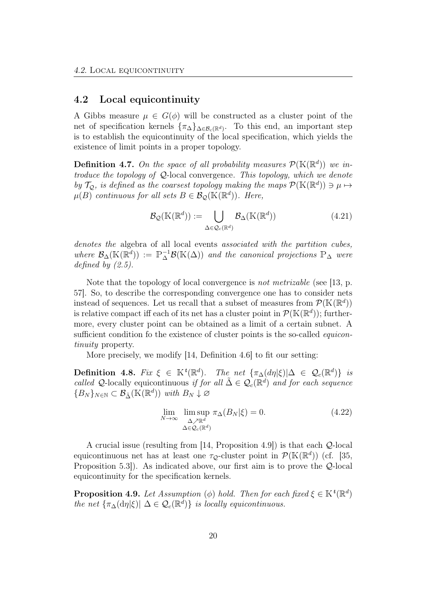#### 4.2 Local equicontinuity

A Gibbs measure  $\mu \in G(\phi)$  will be constructed as a cluster point of the net of specification kernels  $\{\pi_{\Delta}\}_{{\Delta \in \mathcal{B}_c}(\mathbb{R}^d)}$ . To this end, an important step is to establish the equicontinuity of the local specification, which yields the existence of limit points in a proper topology.

**Definition 4.7.** On the space of all probability measures  $\mathcal{P}(\mathbb{K}(\mathbb{R}^d))$  we introduce the topology of  $Q$ -local convergence. This topology, which we denote by  $\mathcal{T}_{\mathcal{Q}}$ , is defined as the coarsest topology making the maps  $\mathcal{P}(\mathbb{K}(\mathbb{R}^d)) \ni \mu \mapsto$  $\mu(B)$  continuous for all sets  $B \in \mathcal{B}_{\mathcal{Q}}(\mathbb{K}(\mathbb{R}^d))$ . Here,

$$
\mathcal{B}_{\mathcal{Q}}(\mathbb{K}(\mathbb{R}^d)) := \bigcup_{\Delta \in \mathcal{Q}_c(\mathbb{R}^d)} \mathcal{B}_{\Delta}(\mathbb{K}(\mathbb{R}^d))
$$
(4.21)

denotes the algebra of all local events associated with the partition cubes, where  $\mathcal{B}_{\Delta}(\mathbb{K}(\mathbb{R}^d)) := \mathbb{P}_{\Delta}^{-1} \mathcal{B}(\mathbb{K}(\Delta))$  and the canonical projections  $\mathbb{P}_{\Delta}$  were defined by  $(2.5)$ .

Note that the topology of local convergence is *not metrizable* (see [13, p. 57]. So, to describe the corresponding convergence one has to consider nets instead of sequences. Let us recall that a subset of measures from  $\mathcal{P}(\mathbb{K}(\mathbb{R}^d))$ is relative compact iff each of its net has a cluster point in  $\mathcal{P}(\mathbb{K}(\mathbb{R}^d))$ ; furthermore, every cluster point can be obtained as a limit of a certain subnet. A sufficient condition fo the existence of cluster points is the so-called *equicon*tinuity property.

More precisely, we modify [14, Definition 4.6] to fit our setting:

Definition 4.8. Fix  $\xi \in \mathbb{K}^t(\mathbb{R}^d)$ . The net  $\{\pi_{\Delta}(d\eta|\xi)|\Delta \in \mathcal{Q}_c(\mathbb{R}^d)\}\$ is called Q-locally equicontinuous if for all  $\tilde{\Delta} \in \mathcal{Q}_c(\mathbb{R}^d)$  and for each sequence  ${B_N}_{N \in \mathbb{N}} \subset \mathcal{B}_{\tilde{\Delta}}(\mathbb{K}(\mathbb{R}^d))$  with  $B_N \downarrow \varnothing$ 

$$
\lim_{N \to \infty} \lim_{\substack{\Delta \nearrow \mathbb{R}^d \\ \Delta \in \mathcal{Q}_c(\mathbb{R}^d)}} \pi_{\Delta}(B_N|\xi) = 0.
$$
\n(4.22)

A crucial issue (resulting from [14, Proposition 4.9]) is that each Q-local equicontinuous net has at least one  $\tau_{\mathcal{Q}}$ -cluster point in  $\mathcal{P}(\mathbb{K}(\mathbb{R}^d))$  (cf. [35, Proposition 5.3]). As indicated above, our first aim is to prove the Q-local equicontinuity for the specification kernels.

**Proposition 4.9.** Let Assumption ( $\phi$ ) hold. Then for each fixed  $\xi \in \mathbb{K}^t(\mathbb{R}^d)$ the net  $\{\pi_{\Delta}(\mathrm{d}\eta|\xi)| \Delta \in \mathcal{Q}_c(\mathbb{R}^d)\}\$ is locally equicontinuous.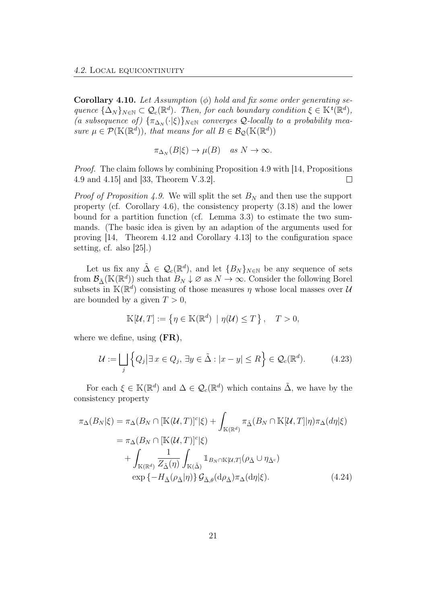**Corollary 4.10.** Let Assumption  $(\phi)$  hold and fix some order generating sequence  $\{\Delta_N\}_{N\in\mathbb{N}}\subset\mathcal{Q}_c(\mathbb{R}^d)$ . Then, for each boundary condition  $\xi\in\mathbb{K}^t(\mathbb{R}^d)$ , (a subsequence of)  $\{\pi_{\Delta_N}(\cdot|\xi)\}_{N\in\mathbb{N}}$  converges Q-locally to a probability measure  $\mu \in \mathcal{P}(\mathbb{K}(\mathbb{R}^d))$ , that means for all  $B \in \mathcal{B}_{\mathcal{Q}}(\mathbb{K}(\mathbb{R}^d))$ 

$$
\pi_{\Delta_N}(B|\xi) \to \mu(B) \quad \text{as } N \to \infty.
$$

Proof. The claim follows by combining Proposition 4.9 with [14, Propositions 4.9 and 4.15] and [33, Theorem V.3.2].  $\Box$ 

*Proof of Proposition 4.9.* We will split the set  $B_N$  and then use the support property (cf. Corollary 4.6), the consistency property (3.18) and the lower bound for a partition function (cf. Lemma 3.3) to estimate the two summands. (The basic idea is given by an adaption of the arguments used for proving [14, Theorem 4.12 and Corollary 4.13] to the configuration space setting, cf. also [25].)

Let us fix any  $\tilde{\Delta} \in \mathcal{Q}_c(\mathbb{R}^d)$ , and let  $\{B_N\}_{N\in\mathbb{N}}$  be any sequence of sets from  $\mathcal{B}_{\tilde{\Delta}}(\mathbb{K}(\mathbb{R}^d))$  such that  $B_N \downarrow \varnothing$  as  $N \to \infty$ . Consider the following Borel subsets in  $\mathbb{K}(\mathbb{R}^d)$  consisting of those measures  $\eta$  whose local masses over U are bounded by a given  $T > 0$ ,

$$
\mathbb{K}[\mathcal{U},T] := \left\{ \eta \in \mathbb{K}(\mathbb{R}^d) \mid \eta(\mathcal{U}) \le T \right\}, \quad T > 0,
$$

where we define, using  $(FR)$ ,

$$
\mathcal{U} := \bigsqcup_{j} \left\{ Q_{j} | \exists x \in Q_{j}, \exists y \in \tilde{\Delta} : |x - y| \le R \right\} \in \mathcal{Q}_{c}(\mathbb{R}^{d}). \tag{4.23}
$$

For each  $\xi \in K(\mathbb{R}^d)$  and  $\Delta \in \mathcal{Q}_c(\mathbb{R}^d)$  which contains  $\tilde{\Delta}$ , we have by the consistency property

$$
\pi_{\Delta}(B_N|\xi) = \pi_{\Delta}(B_N \cap [\mathbb{K}(\mathcal{U}, T)]^c|\xi) + \int_{\mathbb{K}(\mathbb{R}^d)} \pi_{\tilde{\Delta}}(B_N \cap \mathbb{K}[\mathcal{U}, T]|\eta) \pi_{\Delta}(d\eta|\xi)
$$

$$
= \pi_{\Delta}(B_N \cap [\mathbb{K}(\mathcal{U}, T)]^c|\xi)
$$

$$
+ \int_{\mathbb{K}(\mathbb{R}^d)} \frac{1}{Z_{\tilde{\Delta}}(\eta)} \int_{\mathbb{K}(\tilde{\Delta})} \mathbb{1}_{B_N \cap \mathbb{K}[\mathcal{U}, T]} (\rho_{\tilde{\Delta}} \cup \eta_{\tilde{\Delta}^c})
$$

$$
\exp \{-H_{\tilde{\Delta}}(\rho_{\tilde{\Delta}}|\eta)\} \mathcal{G}_{\tilde{\Delta},\theta}(d\rho_{\tilde{\Delta}}) \pi_{\Delta}(d\eta|\xi).
$$
(4.24)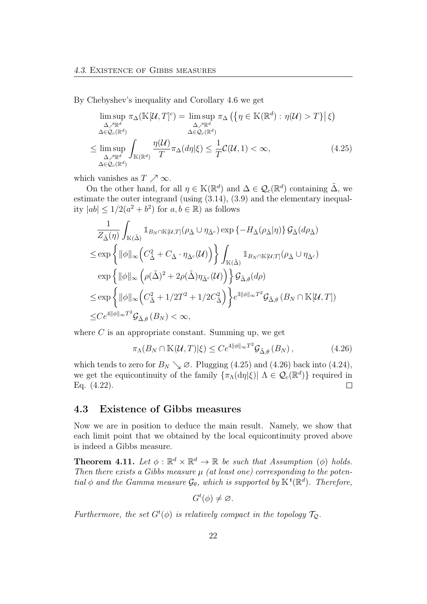By Chebyshev's inequality and Corollary 4.6 we get

$$
\limsup_{\Delta \nearrow \mathbb{R}^d} \pi_{\Delta}(\mathbb{K}[\mathcal{U}, T]^c) = \limsup_{\Delta \nearrow \mathbb{R}^d} \pi_{\Delta}(\{\eta \in \mathbb{K}(\mathbb{R}^d) : \eta(\mathcal{U}) > T\} | \xi)
$$
  
\n
$$
\leq \limsup_{\Delta \nearrow \mathbb{R}^d} \int_{\mathbb{K}(\mathbb{R}^d)} \frac{\eta(\mathcal{U})}{T} \pi_{\Delta}(d\eta | \xi) \leq \frac{1}{T} \mathcal{C}(\mathcal{U}, 1) < \infty,
$$
\n(4.25)

which vanishes as  $T \nearrow \infty$ .

On the other hand, for all  $\eta \in \mathbb{K}(\mathbb{R}^d)$  and  $\Delta \in \mathcal{Q}_c(\mathbb{R}^d)$  containing  $\tilde{\Delta}$ , we estimate the outer integrand (using (3.14), (3.9) and the elementary inequality  $|ab| \leq 1/2(a^2 + b^2)$  for  $a, b \in \mathbb{R}$ ) as follows

$$
\frac{1}{Z_{\tilde{\Delta}}(\eta)} \int_{\mathbb{K}(\tilde{\Delta})} \mathbb{1}_{B_N \cap \mathbb{K}[\mathcal{U},T]} (\rho_{\tilde{\Delta}} \cup \eta_{\tilde{\Delta}^c}) \exp \{-H_{\tilde{\Delta}}(\rho_{\tilde{\Delta}}|\eta)\} \mathcal{G}_{\tilde{\Delta}}(d\rho_{\tilde{\Delta}})
$$
\n
$$
\leq \exp \left\{ ||\phi||_{\infty} \left( C_{\tilde{\Delta}}^2 + C_{\tilde{\Delta}} \cdot \eta_{\tilde{\Delta}^c}(\mathcal{U}) \right) \right\} \int_{\mathbb{K}(\tilde{\Delta})} \mathbb{1}_{B_N \cap \mathbb{K}[\mathcal{U},T]} (\rho_{\tilde{\Delta}} \cup \eta_{\tilde{\Delta}^c})
$$
\n
$$
\exp \left\{ ||\phi||_{\infty} \left( \rho(\tilde{\Delta})^2 + 2\rho(\tilde{\Delta}) \eta_{\tilde{\Delta}^c}(\mathcal{U}) \right) \right\} \mathcal{G}_{\tilde{\Delta},\theta}(d\rho)
$$
\n
$$
\leq \exp \left\{ ||\phi||_{\infty} \left( C_{\tilde{\Delta}}^2 + 1/2T^2 + 1/2C_{\tilde{\Delta}}^2 \right) \right\} e^{3||\phi||_{\infty}T^2} \mathcal{G}_{\tilde{\Delta},\theta} (B_N \cap \mathbb{K}[\mathcal{U},T])
$$
\n
$$
\leq C e^{4||\phi||_{\infty}T^2} \mathcal{G}_{\tilde{\Delta},\theta} (B_N) < \infty,
$$

where  $C$  is an appropriate constant. Summing up, we get

$$
\pi_{\Lambda}(B_N \cap \mathbb{K}(\mathcal{U}, T)|\xi) \le Ce^{4||\phi||_{\infty}T^2} \mathcal{G}_{\tilde{\Delta}, \theta}(B_N), \qquad (4.26)
$$

which tends to zero for  $B_N \searrow \emptyset$ . Plugging (4.25) and (4.26) back into (4.24), we get the equicontinuity of the family  $\{\pi_{\Lambda}(\mathrm{d}\eta|\xi)| \Lambda \in \mathcal{Q}_c(\mathbb{R}^d)\}\$  required in Eq. (4.22).  $\Box$ 

#### 4.3 Existence of Gibbs measures

Now we are in position to deduce the main result. Namely, we show that each limit point that we obtained by the local equicontinuity proved above is indeed a Gibbs measure.

**Theorem 4.11.** Let  $\phi : \mathbb{R}^d \times \mathbb{R}^d \to \mathbb{R}$  be such that Assumption ( $\phi$ ) holds. Then there exists a Gibbs measure  $\mu$  (at least one) corresponding to the potential  $\phi$  and the Gamma measure  $\mathcal{G}_{\theta}$ , which is supported by  $\mathbb{K}^{t}(\mathbb{R}^{d})$ . Therefore,

$$
G^t(\phi) \neq \varnothing.
$$

Furthermore, the set  $G^t(\phi)$  is relatively compact in the topology  $\mathcal{T}_{\mathcal{Q}}$ .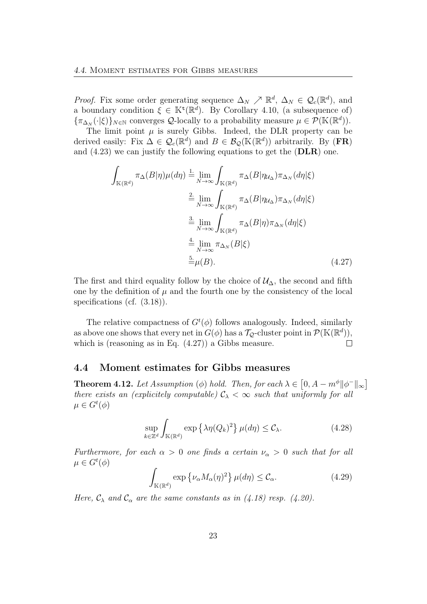*Proof.* Fix some order generating sequence  $\Delta_N \nearrow \mathbb{R}^d$ ,  $\Delta_N \in \mathcal{Q}_c(\mathbb{R}^d)$ , and a boundary condition  $\xi \in \mathbb{K}^{\mathsf{t}}(\mathbb{R}^d)$ . By Corollary 4.10, (a subsequence of)  ${\lbrace \pi_{\Delta_N}(\cdot|\xi) \rbrace_{N \in \mathbb{N}}}$  converges  $\mathcal{Q}$ -locally to a probability measure  $\mu \in \mathcal{P}(\mathbb{K}(\mathbb{R}^d)).$ 

The limit point  $\mu$  is surely Gibbs. Indeed, the DLR property can be derived easily: Fix  $\Delta \in \mathcal{Q}_c(\mathbb{R}^d)$  and  $B \in \mathcal{B}_{\mathcal{Q}}(\mathbb{K}(\mathbb{R}^d))$  arbitrarily. By (FR) and (4.23) we can justify the following equations to get the (DLR) one.

$$
\int_{\mathbb{K}(\mathbb{R}^d)} \pi_{\Delta}(B|\eta) \mu(d\eta) \stackrel{1.}{=} \lim_{N \to \infty} \int_{\mathbb{K}(\mathbb{R}^d)} \pi_{\Delta}(B|\eta_{\mathcal{U}_{\Delta}}) \pi_{\Delta_N}(d\eta|\xi)
$$
\n
$$
\stackrel{2.}{=} \lim_{N \to \infty} \int_{\mathbb{K}(\mathbb{R}^d)} \pi_{\Delta}(B|\eta_{\mathcal{U}_{\Delta}}) \pi_{\Delta_N}(d\eta|\xi)
$$
\n
$$
\stackrel{3.}{=} \lim_{N \to \infty} \int_{\mathbb{K}(\mathbb{R}^d)} \pi_{\Delta}(B|\eta) \pi_{\Delta_N}(d\eta|\xi)
$$
\n
$$
\stackrel{4.}{=} \lim_{N \to \infty} \pi_{\Delta_N}(B|\xi)
$$
\n
$$
\stackrel{5.}{=} \mu(B).
$$
\n(4.27)

The first and third equality follow by the choice of  $\mathcal{U}_{\Delta}$ , the second and fifth one by the definition of  $\mu$  and the fourth one by the consistency of the local specifications (cf.  $(3.18)$ ).

The relative compactness of  $G^t(\phi)$  follows analogously. Indeed, similarly as above one shows that every net in  $\tilde{G}(\phi)$  has a  $\mathcal{T}_{\mathcal{Q}}$ -cluster point in  $\mathcal{P}(\mathbb{K}(\mathbb{R}^d)),$ which is (reasoning as in Eq. (4.27)) a Gibbs measure.  $\Box$ 

#### 4.4 Moment estimates for Gibbs measures

**Theorem 4.12.** Let Assumption ( $\phi$ ) hold. Then, for each  $\lambda \in [0, A - m^{\phi} || \phi^- ||_{\infty}]$ there exists an (explicitely computable)  $\mathcal{C}_{\lambda} < \infty$  such that uniformly for all  $\mu \in G^t(\phi)$ 

$$
\sup_{k \in \mathbb{Z}^d} \int_{\mathbb{K}(\mathbb{R}^d)} \exp \left\{ \lambda \eta(Q_k)^2 \right\} \mu(d\eta) \leq C_{\lambda}.
$$
 (4.28)

Furthermore, for each  $\alpha > 0$  one finds a certain  $\nu_{\alpha} > 0$  such that for all  $\mu \in G^t(\phi)$ 

$$
\int_{\mathbb{K}(\mathbb{R}^d)} \exp \left\{ \nu_\alpha M_\alpha(\eta)^2 \right\} \mu(d\eta) \leq \mathcal{C}_\alpha. \tag{4.29}
$$

Here,  $\mathcal{C}_{\lambda}$  and  $\mathcal{C}_{\alpha}$  are the same constants as in (4.18) resp. (4.20).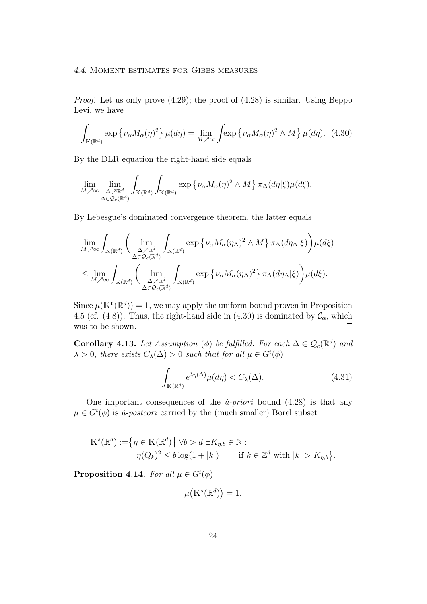Proof. Let us only prove (4.29); the proof of (4.28) is similar. Using Beppo Levi, we have

$$
\int_{\mathbb{K}(\mathbb{R}^d)} \exp \left\{ \nu_\alpha M_\alpha(\eta)^2 \right\} \mu(d\eta) = \lim_{M \nearrow \infty} \int \exp \left\{ \nu_\alpha M_\alpha(\eta)^2 \wedge M \right\} \mu(d\eta). \tag{4.30}
$$

By the DLR equation the right-hand side equals

$$
\lim_{M \nearrow \infty} \lim_{\substack{\Delta \nearrow \mathbb{R}^d \\ \Delta \in \mathcal{Q}_c(\mathbb{R}^d)}} \int_{\mathbb{K}(\mathbb{R}^d)} \int_{\mathbb{K}(\mathbb{R}^d)} \exp \left\{ \nu_\alpha M_\alpha(\eta)^2 \wedge M \right\} \pi_\Delta(d\eta | \xi) \mu(d\xi).
$$

By Lebesgue's dominated convergence theorem, the latter equals

$$
\lim_{M \nearrow \infty} \int_{\mathbb{K}(\mathbb{R}^d)} \left( \lim_{\substack{\Delta \nearrow \mathbb{R}^d \\ \Delta \in \mathcal{Q}_c(\mathbb{R}^d)}} \int_{\mathbb{K}(\mathbb{R}^d)} \exp \left\{ \nu_\alpha M_\alpha (\eta_\Delta)^2 \wedge M \right\} \pi_\Delta(d\eta_\Delta | \xi) \right) \mu(d\xi)
$$
  

$$
\leq \lim_{M \nearrow \infty} \int_{\mathbb{K}(\mathbb{R}^d)} \left( \lim_{\substack{\Delta \nearrow \mathbb{R}^d \\ \Delta \in \mathcal{Q}_c(\mathbb{R}^d)}} \int_{\mathbb{K}(\mathbb{R}^d)} \exp \left\{ \nu_\alpha M_\alpha (\eta_\Delta)^2 \right\} \pi_\Delta(d\eta_\Delta | \xi) \right) \mu(d\xi).
$$

Since  $\mu(\mathbb{K}^{\mathsf{t}}(\mathbb{R}^d)) = 1$ , we may apply the uniform bound proven in Proposition 4.5 (cf. (4.8)). Thus, the right-hand side in (4.30) is dominated by  $\mathcal{C}_{\alpha}$ , which was to be shown.  $\Box$ 

**Corollary 4.13.** Let Assumption ( $\phi$ ) be fulfilled. For each  $\Delta \in \mathcal{Q}_c(\mathbb{R}^d)$  and  $\lambda > 0$ , there exists  $C_{\lambda}(\Delta) > 0$  such that for all  $\mu \in G^{t}(\phi)$ 

$$
\int_{\mathbb{K}(\mathbb{R}^d)} e^{\lambda \eta(\Delta)} \mu(d\eta) < C_{\lambda}(\Delta). \tag{4.31}
$$

One important consequences of the  $\hat{a}$ -priori bound (4.28) is that any  $\mu \in G^{t}(\phi)$  is *à-posteori* carried by the (much smaller) Borel subset

$$
\mathbb{K}^{s}(\mathbb{R}^{d}) := \{ \eta \in \mathbb{K}(\mathbb{R}^{d}) \mid \forall b > d \exists K_{\eta,b} \in \mathbb{N} : \eta(Q_{k})^{2} \leq b \log(1+|k|) \quad \text{if } k \in \mathbb{Z}^{d} \text{ with } |k| > K_{\eta,b} \}.
$$

Proposition 4.14. For all  $\mu \in G^t(\phi)$ 

$$
\mu\big(\mathbb{K}^s(\mathbb{R}^d)\big) = 1.
$$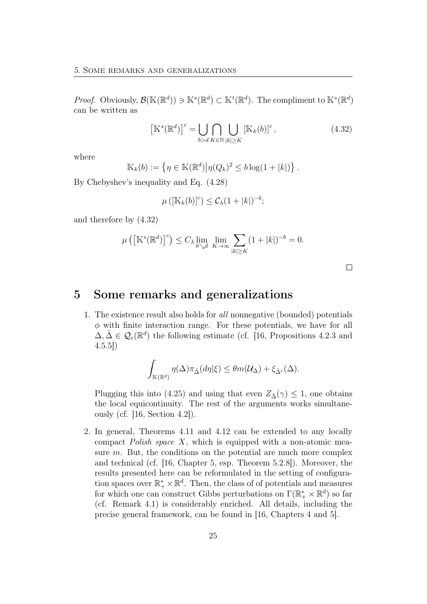*Proof.* Obviously,  $\mathcal{B}(\mathbb{K}(\mathbb{R}^d)) \ni \mathbb{K}^s(\mathbb{R}^d) \subset \mathbb{K}^t(\mathbb{R}^d)$ . The compliment to  $\mathbb{K}^s(\mathbb{R}^d)$ can be written as

$$
\left[\mathbb{K}^{s}(\mathbb{R}^{d})\right]^{c} = \bigcup_{b > d} \bigcap_{K \in \mathbb{N}} \bigcup_{|k| \geq K} \left[\mathbb{K}_{k}(b)\right]^{c},\tag{4.32}
$$

where

$$
\mathbb{K}_k(b) := \left\{ \eta \in \mathbb{K}(\mathbb{R}^d) \middle| \eta(Q_k)^2 \le b \log(1+|k|) \right\}.
$$

By Chebyshev's inequality and Eq. (4.28)

$$
\mu\left(\left[\mathbb{K}_k(b)\right]^c\right) \leq \mathcal{C}_{\lambda}(1+|k|)^{-b};
$$

and therefore by (4.32)

$$
\mu\left(\left[\mathbb{K}^s(\mathbb{R}^d)\right]^c\right) \le C_{\lambda} \lim_{b \searrow d} \lim_{K \to \infty} \sum_{|k| \ge K} (1+|k|)^{-b} = 0.
$$

 $\Box$ 

## 5 Some remarks and generalizations

1. The existence result also holds for all nonnegative (bounded) potentials  $\phi$  with finite interaction range. For these potentials, we have for all  $\Delta, \tilde{\Delta} \in \mathcal{Q}_c(\mathbb{R}^d)$  the following estimate (cf. [16, Propositions 4.2.3 and 4.5.5])

$$
\int_{\mathbb{K}(\mathbb{R}^d)} \eta(\Delta) \pi_{\tilde{\Delta}}(d\eta|\xi) \leq \theta m(\mathcal{U}_{\Delta}) + \xi_{\tilde{\Delta}^c}(\Delta).
$$

Plugging this into (4.25) and using that even  $Z_{\tilde{\Delta}}(\gamma) \leq 1$ , one obtains the local equicontinuity. The rest of the arguments works simultaneously (cf. [16, Section 4.2]).

2. In general, Theorems 4.11 and 4.12 can be extended to any locally compact Polish space  $X$ , which is equipped with a non-atomic measure m. But, the conditions on the potential are much more complex and technical (cf. [16, Chapter 5, esp. Theorem 5.2.8]). Moreover, the results presented here can be reformulated in the setting of configuration spaces over  $\mathbb{R}_+^* \times \mathbb{R}^d$ . Then, the class of of potentials and measures for which one can construct Gibbs perturbations on  $\Gamma(\mathbb{R}_+^* \times \mathbb{R}^d)$  so far (cf. Remark 4.1) is considerably enriched. All details, including the precise general framework, can be found in [16, Chapters 4 and 5].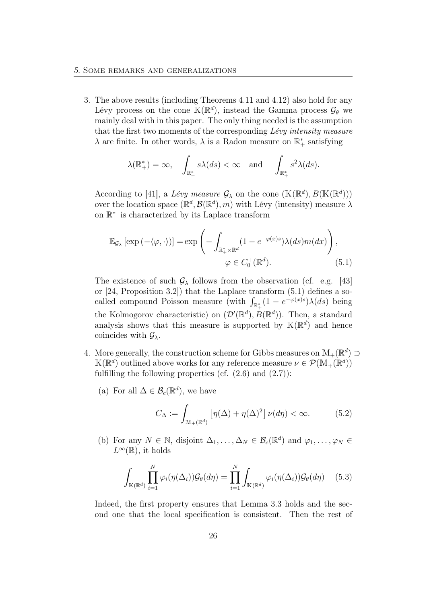3. The above results (including Theorems 4.11 and 4.12) also hold for any Lévy process on the cone  $\mathbb{K}(\mathbb{R}^d)$ , instead the Gamma process  $\mathcal{G}_{\theta}$  we mainly deal with in this paper. The only thing needed is the assumption that the first two moments of the corresponding Lévy intensity measure  $\lambda$  are finite. In other words,  $\lambda$  is a Radon measure on  $\mathbb{R}_+^*$  satisfying

$$
\lambda(\mathbb{R}^*_+) = \infty
$$
,  $\int_{\mathbb{R}^*_+} s\lambda(ds) < \infty$  and  $\int_{\mathbb{R}^*_+} s^2\lambda(ds)$ .

According to [41], a Lévy measure  $\mathcal{G}_{\lambda}$  on the cone  $(\mathbb{K}(\mathbb{R}^d), B(\mathbb{K}(\mathbb{R}^d)))$ over the location space  $(\mathbb{R}^d, \mathcal{B}(\mathbb{R}^d), m)$  with Lévy (intensity) measure  $\lambda$ on  $\mathbb{R}^*_+$  is characterized by its Laplace transform

$$
\mathbb{E}_{\mathcal{G}_{\lambda}}\left[\exp\left(-\langle\varphi,\cdot\rangle\right)\right] = \exp\left(-\int_{\mathbb{R}_{+}^{*}\times\mathbb{R}^{d}} (1 - e^{-\varphi(x)s})\lambda(ds)m(dx)\right),
$$
  

$$
\varphi \in C_{0}^{+}(\mathbb{R}^{d}). \tag{5.1}
$$

The existence of such  $\mathcal{G}_{\lambda}$  follows from the observation (cf. e.g. [43] or [24, Proposition 3.2]) that the Laplace transform (5.1) defines a socalled compound Poisson measure (with  $\int_{\mathbb{R}^*_+} (1 - e^{-\varphi(x)s}) \lambda(ds)$  being the Kolmogorov characteristic) on  $(\mathcal{D}'(\mathbb{R}^d), B(\mathbb{R}^d))$ . Then, a standard analysis shows that this measure is supported by  $K(\mathbb{R}^d)$  and hence coincides with  $\mathcal{G}_{\lambda}$ .

- 4. More generally, the construction scheme for Gibbs measures on  $\mathbb{M}_{+}(\mathbb{R}^{d})$  $\mathbb{K}(\mathbb{R}^d)$  outlined above works for any reference measure  $\nu \in \mathcal{P}(\mathbb{M}_+(\mathbb{R}^d))$ fulfilling the following properties (cf.  $(2.6)$  and  $(2.7)$ ):
	- (a) For all  $\Delta \in \mathcal{B}_c(\mathbb{R}^d)$ , we have

$$
C_{\Delta} := \int_{\mathbb{M}_+(\mathbb{R}^d)} \left[ \eta(\Delta) + \eta(\Delta)^2 \right] \nu(d\eta) < \infty. \tag{5.2}
$$

(b) For any  $N \in \mathbb{N}$ , disjoint  $\Delta_1, \ldots, \Delta_N \in \mathcal{B}_c(\mathbb{R}^d)$  and  $\varphi_1, \ldots, \varphi_N \in$  $L^{\infty}(\mathbb{R})$ , it holds

$$
\int_{\mathbb{K}(\mathbb{R}^d)} \prod_{i=1}^N \varphi_i(\eta(\Delta_i)) \mathcal{G}_{\theta}(d\eta) = \prod_{i=1}^N \int_{\mathbb{K}(\mathbb{R}^d)} \varphi_i(\eta(\Delta_i)) \mathcal{G}_{\theta}(d\eta) \quad (5.3)
$$

Indeed, the first property ensures that Lemma 3.3 holds and the second one that the local specification is consistent. Then the rest of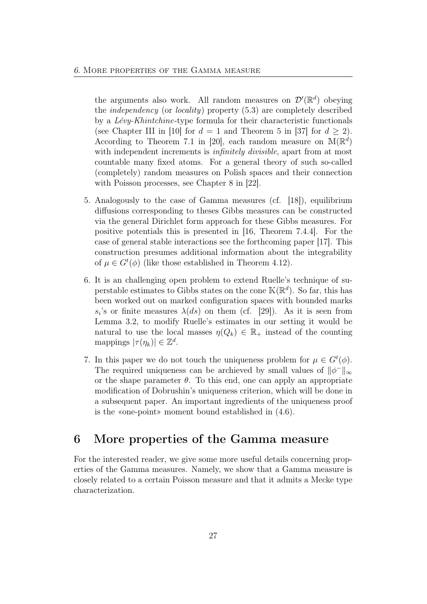the arguments also work. All random measures on  $\mathcal{D}'(\mathbb{R}^d)$  obeying the independency (or locality) property (5.3) are completely described by a Lévy-Khintchine-type formula for their characteristic functionals (see Chapter III in [10] for  $d = 1$  and Theorem 5 in [37] for  $d > 2$ ). According to Theorem 7.1 in [20], each random measure on  $\mathbb{M}(\mathbb{R}^d)$ with independent increments is *infinitely divisible*, apart from at most countable many fixed atoms. For a general theory of such so-called (completely) random measures on Polish spaces and their connection with Poisson processes, see Chapter 8 in [22].

- 5. Analogously to the case of Gamma measures (cf. [18]), equilibrium diffusions corresponding to theses Gibbs measures can be constructed via the general Dirichlet form approach for these Gibbs measures. For positive potentials this is presented in [16, Theorem 7.4.4]. For the case of general stable interactions see the forthcoming paper [17]. This construction presumes additional information about the integrability of  $\mu \in G^t(\phi)$  (like those established in Theorem 4.12).
- 6. It is an challenging open problem to extend Ruelle's technique of superstable estimates to Gibbs states on the cone  $\mathbb{K}(\mathbb{R}^d)$ . So far, this has been worked out on marked configuration spaces with bounded marks  $s_i$ 's or finite measures  $\lambda(ds)$  on them (cf. [29]). As it is seen from Lemma 3.2, to modify Ruelle's estimates in our setting it would be natural to use the local masses  $\eta(Q_k) \in \mathbb{R}_+$  instead of the counting mappings  $|\tau(\eta_k)| \in \mathbb{Z}^d$ .
- 7. In this paper we do not touch the uniqueness problem for  $\mu \in G^t(\phi)$ . The required uniqueness can be archieved by small values of  $\|\phi^-\|_{\infty}$ or the shape parameter  $\theta$ . To this end, one can apply an appropriate modification of Dobrushin's uniqueness criterion, which will be done in a subsequent paper. An important ingredients of the uniqueness proof is the «one-point» moment bound established in (4.6).

# 6 More properties of the Gamma measure

For the interested reader, we give some more useful details concerning properties of the Gamma measures. Namely, we show that a Gamma measure is closely related to a certain Poisson measure and that it admits a Mecke type characterization.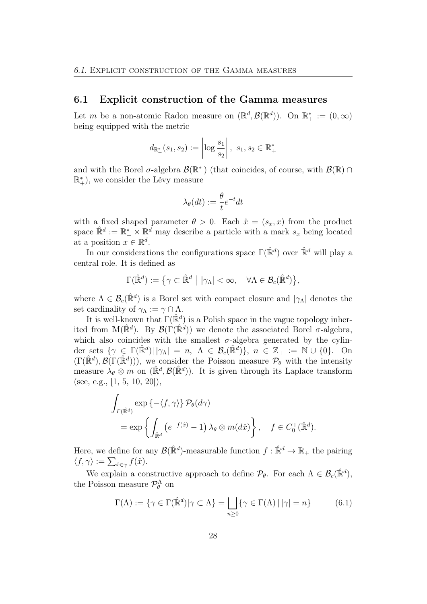#### 6.1 Explicit construction of the Gamma measures

Let m be a non-atomic Radon measure on  $(\mathbb{R}^d, \mathcal{B}(\mathbb{R}^d))$ . On  $\mathbb{R}^*_+ := (0, \infty)$ being equipped with the metric

$$
d_{\mathbb{R}_+^*}(s_1, s_2) := \left| \log \frac{s_1}{s_2} \right|, s_1, s_2 \in \mathbb{R}_+^*
$$

and with the Borel  $\sigma$ -algebra  $\mathcal{B}(\mathbb{R}^*_+)$  (that coincides, of course, with  $\mathcal{B}(\mathbb{R}) \cap$  $\mathbb{R}^*_+$ ), we consider the Lévy measure

$$
\lambda_{\theta}(dt) := \frac{\theta}{t}e^{-t}dt
$$

with a fixed shaped parameter  $\theta > 0$ . Each  $\hat{x} = (s_x, x)$  from the product space  $\mathbb{R}^d := \mathbb{R}_+^* \times \mathbb{R}^d$  may describe a particle with a mark  $s_x$  being located at a position  $x \in \mathbb{R}^d$ .

In our considerations the configurations space  $\Gamma(\hat{\mathbb{R}}^d)$  over  $\hat{\mathbb{R}}^d$  will play a central role. It is defined as

$$
\Gamma(\hat{\mathbb{R}}^d) := \left\{ \gamma \subset \hat{\mathbb{R}}^d \mid |\gamma_{\Lambda}| < \infty, \quad \forall \Lambda \in \mathcal{B}_c(\hat{\mathbb{R}}^d) \right\},\
$$

where  $\Lambda \in \mathcal{B}_c(\mathbb{R}^d)$  is a Borel set with compact closure and  $|\gamma_\Lambda|$  denotes the set cardinality of  $\gamma_{\Lambda} := \gamma \cap \Lambda$ .

It is well-known that  $\Gamma(\hat{\mathbb{R}}^d)$  is a Polish space in the vague topology inherited from  $M(\mathbb{R}^d)$ . By  $\mathcal{B}(\Gamma(\mathbb{R}^d))$  we denote the associated Borel  $\sigma$ -algebra, which also coincides with the smallest  $\sigma$ -algebra generated by the cylinder sets  $\{\gamma \in \Gamma(\mathbb{R}^d) | |\gamma_\Lambda| = n, \ \Lambda \in \mathcal{B}_c(\mathbb{R}^d) \}, \ n \in \mathbb{Z}_+ := \mathbb{N} \cup \{0\}.$  On  $(\Gamma(\hat{\mathbb{R}}^d), \mathcal{B}(\Gamma(\hat{\mathbb{R}}^d)))$ , we consider the Poisson measure  $\mathcal{P}_{\theta}$  with the intensity measure  $\lambda_{\theta} \otimes m$  on  $(\mathbb{R}^d, \mathcal{B}(\mathbb{R}^d))$ . It is given through its Laplace transform (see, e.g., [1, 5, 10, 20]),

$$
\int_{\Gamma(\hat{\mathbb{R}}^d)} \exp \{-\langle f, \gamma \rangle\} \mathcal{P}_{\theta}(d\gamma)
$$
  
=  $\exp \left\{ \int_{\hat{\mathbb{R}}^d} \left( e^{-f(\hat{x})} - 1 \right) \lambda_{\theta} \otimes m(d\hat{x}) \right\}, \quad f \in C_0^+(\hat{\mathbb{R}}^d).$ 

Here, we define for any  $\mathcal{B}(\hat{\mathbb{R}}^d)$ -measurable function  $f : \hat{\mathbb{R}}^d \to \mathbb{R}_+$  the pairing  $\langle f, \gamma \rangle := \sum_{\hat{x} \in \gamma} f(\hat{x}).$ 

We explain a constructive approach to define  $\mathcal{P}_{\theta}$ . For each  $\Lambda \in \mathcal{B}_c(\mathbb{R}^d)$ , the Poisson measure  $\mathcal{P}_{\theta}^{\Lambda}$  on

$$
\Gamma(\Lambda) := \{ \gamma \in \Gamma(\hat{\mathbb{R}}^d) | \gamma \subset \Lambda \} = \bigsqcup_{n \ge 0} \{ \gamma \in \Gamma(\Lambda) \, | \, |\gamma| = n \}
$$
 (6.1)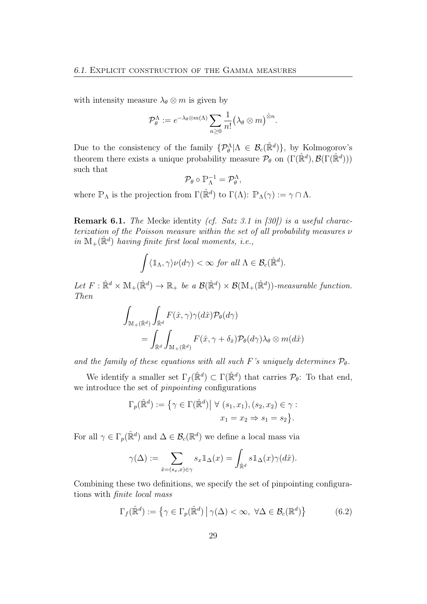with intensity measure  $\lambda_{\theta} \otimes m$  is given by

$$
\mathcal{P}_{\theta}^{\Lambda} := e^{-\lambda_{\theta} \otimes m(\Lambda)} \sum_{n \geq 0} \frac{1}{n!} (\lambda_{\theta} \otimes m)^{\hat{\otimes} n}.
$$

Due to the consistency of the family  $\{\mathcal{P}_{\theta}^{\Lambda}|\Lambda \in \mathcal{B}_{c}(\mathbb{R}^{d})\}$ , by Kolmogorov's theorem there exists a unique probability measure  $\mathcal{P}_{\theta}$  on  $(\Gamma(\hat{\mathbb{R}}^d), \mathcal{B}(\Gamma(\hat{\mathbb{R}}^d)))$ such that

$$
\mathcal{P}_{\theta} \circ \mathbb{P}_{\Lambda}^{-1} = \mathcal{P}_{\theta}^{\Lambda},
$$

where  $\mathbb{P}_{\Lambda}$  is the projection from  $\Gamma(\hat{\mathbb{R}}^d)$  to  $\Gamma(\Lambda)$ :  $\mathbb{P}_{\Lambda}(\gamma) := \gamma \cap \Lambda$ .

Remark 6.1. The Mecke identity (cf. Satz 3.1 in [30]) is a useful characterization of the Poisson measure within the set of all probability measures  $\nu$ in  $M_+(\hat{\mathbb{R}}^d)$  having finite first local moments, i.e.,

$$
\int \langle \mathbb{1}_{\Lambda}, \gamma \rangle \nu(d\gamma) < \infty \ \text{for all} \ \Lambda \in \mathcal{B}_c(\hat{\mathbb{R}}^d).
$$

Let  $F: \mathbb{R}^d \times M_+(\mathbb{R}^d) \to \mathbb{R}_+$  be a  $\mathcal{B}(\mathbb{R}^d) \times \mathcal{B}(M_+(\mathbb{R}^d))$ -measurable function. Then

$$
\int_{\mathbb{M}_{+}(\hat{\mathbb{R}}^{d})} \int_{\hat{\mathbb{R}}^{d}} F(\hat{x}, \gamma) \gamma(d\hat{x}) \mathcal{P}_{\theta}(d\gamma)
$$
\n
$$
= \int_{\hat{\mathbb{R}}^{d}} \int_{\mathbb{M}_{+}(\hat{\mathbb{R}}^{d})} F(\hat{x}, \gamma + \delta_{\hat{x}}) \mathcal{P}_{\theta}(d\gamma) \lambda_{\theta} \otimes m(d\hat{x})
$$

and the family of these equations with all such F's uniquely determines  $\mathcal{P}_{\theta}$ .

We identify a smaller set  $\Gamma_f(\hat{\mathbb{R}}^d) \subset \Gamma(\hat{\mathbb{R}}^d)$  that carries  $\mathcal{P}_{\theta}$ : To that end, we introduce the set of *pinpointing* configurations

$$
\Gamma_p(\hat{\mathbb{R}}^d) := \{ \gamma \in \Gamma(\hat{\mathbb{R}}^d) \mid \forall (s_1, x_1), (s_2, x_2) \in \gamma :
$$

$$
x_1 = x_2 \Rightarrow s_1 = s_2 \}.
$$

For all  $\gamma \in \Gamma_p(\hat{\mathbb{R}}^d)$  and  $\Delta \in \mathcal{B}_c(\mathbb{R}^d)$  we define a local mass via

$$
\gamma(\Delta) := \sum_{\hat{x}=(s_x,x)\in\gamma} s_x 1\!\!1_\Delta(x) = \int_{\hat{\mathbb{R}}^d} s 1\!\!1_\Delta(x) \gamma(d\hat{x}).
$$

Combining these two definitions, we specify the set of pinpointing configurations with finite local mass

$$
\Gamma_f(\hat{\mathbb{R}}^d) := \left\{ \gamma \in \Gamma_p(\hat{\mathbb{R}}^d) \, \middle| \, \gamma(\Delta) < \infty, \, \forall \Delta \in \mathcal{B}_c(\mathbb{R}^d) \right\} \tag{6.2}
$$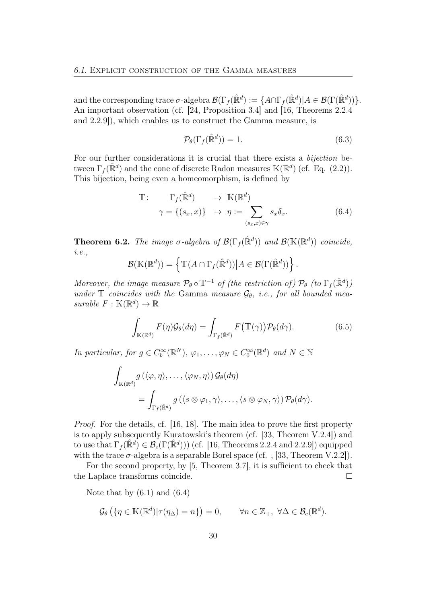and the corresponding trace  $\sigma$ -algebra  $\mathcal{B}(\Gamma_f(\hat{\mathbb{R}}^d) := \{A \cap \Gamma_f(\hat{\mathbb{R}}^d) | A \in \mathcal{B}(\Gamma(\hat{\mathbb{R}}^d))\}.$ An important observation (cf. [24, Proposition 3.4] and [16, Theorems 2.2.4 and 2.2.9]), which enables us to construct the Gamma measure, is

$$
\mathcal{P}_{\theta}(\Gamma_f(\hat{\mathbb{R}}^d)) = 1.
$$
\n(6.3)

.

For our further considerations it is crucial that there exists a *bijection* between  $\Gamma_f(\hat{\mathbb{R}}^d)$  and the cone of discrete Radon measures  $\mathbb{K}(\mathbb{R}^d)$  (cf. Eq. (2.2)). This bijection, being even a homeomorphism, is defined by

$$
\mathbb{T}: \qquad \Gamma_f(\hat{\mathbb{R}}^d) \qquad \to \mathbb{K}(\mathbb{R}^d) \n\gamma = \{(s_x, x)\} \quad \mapsto \quad \eta := \sum_{(s_x, x) \in \gamma} s_x \delta_x.
$$
\n(6.4)

**Theorem 6.2.** The image  $\sigma$ -algebra of  $\mathcal{B}(\Gamma_f(\hat{\mathbb{R}}^d))$  and  $\mathcal{B}(\mathbb{K}(\mathbb{R}^d))$  coincide, i.e.,

$$
\mathcal{B}(\mathbb{K}(\mathbb{R}^d)) = \left\{ \mathbb{T}(A \cap \Gamma_f(\hat{\mathbb{R}}^d)) \middle| A \in \mathcal{B}(\Gamma(\hat{\mathbb{R}}^d)) \right\}
$$

Moreover, the image measure  $\mathcal{P}_{\theta} \circ \mathbb{T}^{-1}$  of (the restriction of)  $\mathcal{P}_{\theta}$  (to  $\Gamma_f(\hat{\mathbb{R}}^d)$ ) under  $\mathbb T$  coincides with the Gamma measure  $\mathcal{G}_{\theta}$ , i.e., for all bounded measurable  $F : \mathbb{K}(\mathbb{R}^d) \to \mathbb{R}$ 

$$
\int_{\mathbb{K}(\mathbb{R}^d)} F(\eta) \mathcal{G}_{\theta}(d\eta) = \int_{\Gamma_f(\hat{\mathbb{R}}^d)} F(\mathbb{T}(\gamma)) \mathcal{P}_{\theta}(d\gamma).
$$
\n(6.5)

In particular, for  $g \in C_b^{\infty}(\mathbb{R}^N)$ ,  $\varphi_1, \ldots, \varphi_N \in C_0^{\infty}(\mathbb{R}^d)$  and  $N \in \mathbb{N}$ 

$$
\int_{\mathbb{K}(\mathbb{R}^d)} g\left(\langle \varphi, \eta \rangle, \dots, \langle \varphi_N, \eta \rangle\right) \mathcal{G}_{\theta}(d\eta) \n= \int_{\Gamma_f(\hat{\mathbb{R}}^d)} g\left(\langle s \otimes \varphi_1, \gamma \rangle, \dots, \langle s \otimes \varphi_N, \gamma \rangle\right) \mathcal{P}_{\theta}(d\gamma).
$$

Proof. For the details, cf. [16, 18]. The main idea to prove the first property is to apply subsequently Kuratowski's theorem (cf. [33, Theorem V.2.4]) and to use that  $\Gamma_f(\hat{\mathbb{R}}^d) \in \mathcal{B}_c(\Gamma(\hat{\mathbb{R}}^d))$  (cf. [16, Theorems 2.2.4 and 2.2.9]) equipped with the trace  $\sigma$ -algebra is a separable Borel space (cf., [33, Theorem V.2.2]).

For the second property, by [5, Theorem 3.7], it is sufficient to check that the Laplace transforms coincide.  $\Box$ 

Note that by  $(6.1)$  and  $(6.4)$ 

$$
\mathcal{G}_{\theta}\left(\{\eta \in \mathbb{K}(\mathbb{R}^d) | \tau(\eta_{\Delta}) = n\}\right) = 0, \qquad \forall n \in \mathbb{Z}_+, \ \forall \Delta \in \mathcal{B}_c(\mathbb{R}^d).
$$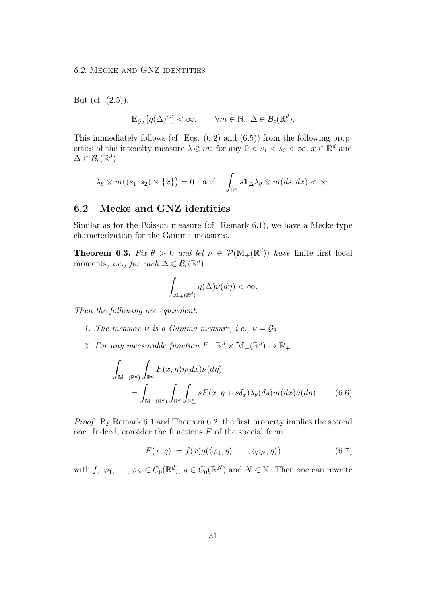But (cf. (2.5)),

$$
\mathbb{E}_{\mathcal{G}_{\theta}}\left[\eta(\Delta)^m\right] < \infty, \qquad \forall m \in \mathbb{N}, \ \Delta \in \mathcal{B}_c(\mathbb{R}^d).
$$

This immediately follows (cf. Eqs. (6.2) and (6.5)) from the following properties of the intensity measure  $\lambda \otimes m$ : for any  $0 < s_1 < s_2 < \infty$ ,  $x \in \mathbb{R}^d$  and  $\Delta \in \mathcal{B}_c(\mathbb{R}^d)$ 

$$
\lambda_{\theta} \otimes m((s_1, s_2) \times \{x\}) = 0
$$
 and  $\int_{\hat{\mathbb{R}}^d} s \mathbb{1}_{\Delta} \lambda_{\theta} \otimes m(ds, dx) < \infty$ .

### 6.2 Mecke and GNZ identities

Similar as for the Poisson measure (cf. Remark 6.1), we have a Mecke-type characterization for the Gamma measures.

**Theorem 6.3.** Fix  $\theta > 0$  and let  $\nu \in \mathcal{P}(\mathbb{M}_{+}(\mathbb{R}^{d}))$  have finite first local moments, *i.e.*, for each  $\Delta \in \mathcal{B}_c(\mathbb{R}^d)$ 

$$
\int_{\mathbb{M}_+(\mathbb{R}^d)} \eta(\Delta) \nu(d\eta) < \infty.
$$

Then the following are equivalent:

- 1. The measure  $\nu$  is a Gamma measure, i.e.,  $\nu = \mathcal{G}_{\theta}$ .
- 2. For any measurable function  $F: \mathbb{R}^d \times \mathbb{M}_+(\mathbb{R}^d) \to \mathbb{R}_+$

$$
\int_{\mathbb{M}_{+}(\mathbb{R}^{d})} \int_{\mathbb{R}^{d}} F(x, \eta) \eta(dx) \nu(d\eta)
$$
\n
$$
= \int_{\mathbb{M}_{+}(\mathbb{R}^{d})} \int_{\mathbb{R}^{d}} \int_{\mathbb{R}_{+}^{*}} sF(x, \eta + s\delta_{x}) \lambda_{\theta}(ds) m(dx) \nu(d\eta).
$$
\n(6.6)

Proof. By Remark 6.1 and Theorem 6.2, the first property implies the second one. Indeed, consider the functions  $F$  of the special form

$$
F(x,\eta) := f(x)g(\langle \varphi_1, \eta \rangle, \dots, \langle \varphi_N, \eta \rangle) \tag{6.7}
$$

with  $f, \varphi_1, \ldots, \varphi_N \in C_0(\mathbb{R}^d), g \in C_0(\mathbb{R}^N)$  and  $N \in \mathbb{N}$ . Then one can rewrite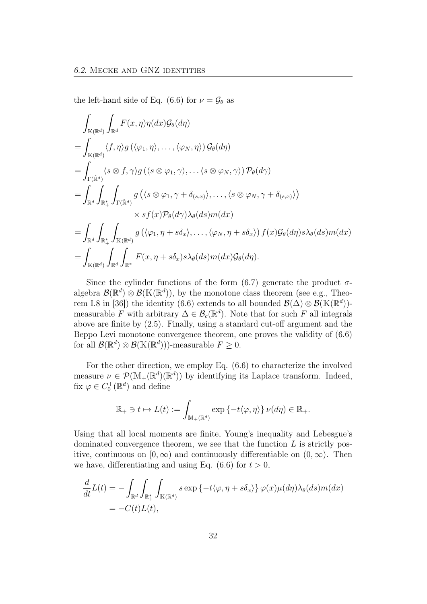the left-hand side of Eq. (6.6) for  $\nu = \mathcal{G}_{\theta}$  as

$$
\int_{\mathbb{K}(\mathbb{R}^{d})} \int_{\mathbb{R}^{d}} F(x, \eta) \eta(dx) \mathcal{G}_{\theta}(d\eta)
$$
\n=
$$
\int_{\mathbb{K}(\mathbb{R}^{d})} \langle f, \eta \rangle g(\langle \varphi_{1}, \eta \rangle, \dots, \langle \varphi_{N}, \eta \rangle) \mathcal{G}_{\theta}(d\eta)
$$
\n=
$$
\int_{\Gamma(\hat{\mathbb{R}}^{d})} \langle s \otimes f, \gamma \rangle g(\langle s \otimes \varphi_{1}, \gamma \rangle, \dots \langle s \otimes \varphi_{N}, \gamma \rangle) \mathcal{P}_{\theta}(d\gamma)
$$
\n=
$$
\int_{\mathbb{R}^{d}} \int_{\mathbb{R}^{*}_{+}} \int_{\Gamma(\hat{\mathbb{R}}^{d})} g(\langle s \otimes \varphi_{1}, \gamma + \delta_{(s,x)} \rangle, \dots, \langle s \otimes \varphi_{N}, \gamma + \delta_{(s,x)} \rangle)
$$
\n
$$
\times sf(x) \mathcal{P}_{\theta}(d\gamma) \lambda_{\theta}(ds) m(dx)
$$
\n=
$$
\int_{\mathbb{R}^{d}} \int_{\mathbb{R}^{*}_{+}} \int_{\mathbb{K}(\mathbb{R}^{d})} g(\langle \varphi_{1}, \eta + s \delta_{x} \rangle, \dots, \langle \varphi_{N}, \eta + s \delta_{x} \rangle) f(x) \mathcal{G}_{\theta}(d\eta) s \lambda_{\theta}(ds) m(dx)
$$
\n=
$$
\int_{\mathbb{K}(\mathbb{R}^{d})} \int_{\mathbb{R}^{d}} \int_{\mathbb{R}^{*}_{+}} F(x, \eta + s \delta_{x}) s \lambda_{\theta}(ds) m(dx) \mathcal{G}_{\theta}(d\eta).
$$

Since the cylinder functions of the form  $(6.7)$  generate the product  $\sigma$ algebra  $\mathcal{B}(\mathbb{R}^d) \otimes \mathcal{B}(\mathbb{K}(\mathbb{R}^d))$ , by the monotone class theorem (see e.g., Theorem I.8 in [36]) the identity (6.6) extends to all bounded  $\mathcal{B}(\Delta) \otimes \mathcal{B}(\mathbb{K}(\mathbb{R}^d))$ measurable F with arbitrary  $\Delta \in \mathcal{B}_c(\mathbb{R}^d)$ . Note that for such F all integrals above are finite by (2.5). Finally, using a standard cut-off argument and the Beppo Levi monotone convergence theorem, one proves the validity of (6.6) for all  $\mathcal{B}(\mathbb{R}^d) \otimes \mathcal{B}(\mathbb{K}(\mathbb{R}^d))$ -measurable  $F \geq 0$ .

For the other direction, we employ Eq. (6.6) to characterize the involved measure  $\nu \in \mathcal{P}(\mathbb{M}_{+}(\mathbb{R}^d)(\mathbb{R}^d))$  by identifying its Laplace transform. Indeed, fix  $\varphi \in C_0^+(\mathbb{R}^d)$  and define

$$
\mathbb{R}_+ \ni t \mapsto L(t) := \int_{\mathbb{M}_+(\mathbb{R}^d)} \exp \{-t \langle \varphi, \eta \rangle\} \, \nu(d\eta) \in \mathbb{R}_+.
$$

Using that all local moments are finite, Young's inequality and Lebesgue's dominated convergence theorem, we see that the function  $L$  is strictly positive, continuous on [0, ∞) and continuously differentiable on  $(0, \infty)$ . Then we have, differentiating and using Eq. (6.6) for  $t > 0$ ,

$$
\frac{d}{dt}L(t) = -\int_{\mathbb{R}^d} \int_{\mathbb{R}_+^*} \int_{\mathbb{K}(\mathbb{R}^d)} s \exp \{-t \langle \varphi, \eta + s \delta_x \rangle \} \varphi(x) \mu(d\eta) \lambda_{\theta}(ds) m(dx) \n= -C(t)L(t),
$$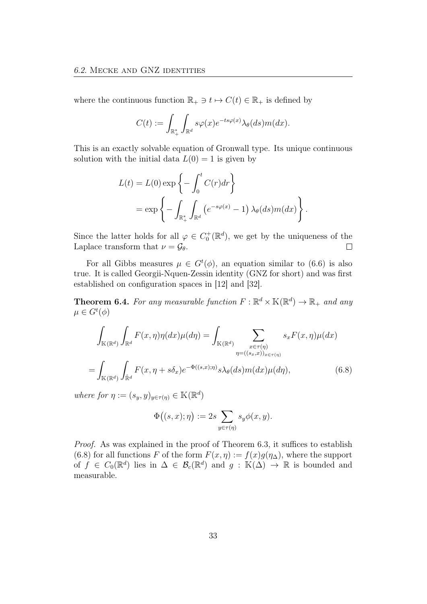where the continuous function  $\mathbb{R}_+ \ni t \mapsto C(t) \in \mathbb{R}_+$  is defined by

$$
C(t) := \int_{\mathbb{R}_+^*} \int_{\mathbb{R}^d} s\varphi(x) e^{-ts\varphi(x)} \lambda_\theta(ds) m(dx).
$$

This is an exactly solvable equation of Gronwall type. Its unique continuous solution with the initial data  $L(0) = 1$  is given by

$$
L(t) = L(0) \exp \left\{-\int_0^t C(r) dr\right\}
$$
  
=  $\exp\left\{-\int_{\mathbb{R}_+^*} \int_{\mathbb{R}^d} \left(e^{-s\varphi(x)} - 1\right) \lambda_\theta(ds) m(dx)\right\}.$ 

Since the latter holds for all  $\varphi \in C_0^+(\mathbb{R}^d)$ , we get by the uniqueness of the Laplace transform that  $\nu = \mathcal{G}_{\theta}$ .  $\Box$ 

For all Gibbs measures  $\mu \in G^t(\phi)$ , an equation similar to (6.6) is also true. It is called Georgii-Nquen-Zessin identity (GNZ for short) and was first established on configuration spaces in [12] and [32].

**Theorem 6.4.** For any measurable function  $F : \mathbb{R}^d \times \mathbb{K}(\mathbb{R}^d) \to \mathbb{R}_+$  and any  $\mu \in G^t(\phi)$ 

$$
\int_{\mathbb{K}(\mathbb{R}^d)} \int_{\mathbb{R}^d} F(x, \eta) \eta(dx) \mu(d\eta) = \int_{\mathbb{K}(\mathbb{R}^d)} \sum_{\substack{x \in \tau(\eta) \\ \eta = ((s_x, x))_{x \in \tau(\eta)}}} s_x F(x, \eta) \mu(dx)
$$
\n
$$
= \int_{\mathbb{K}(\mathbb{R}^d)} \int_{\mathbb{R}^d} F(x, \eta + s\delta_x) e^{-\Phi((s, x); \eta)} s \lambda_{\theta}(ds) m(dx) \mu(d\eta), \tag{6.8}
$$

where for  $\eta := (s_y, y)_{y \in \tau(\eta)} \in \mathbb{K}(\mathbb{R}^d)$ 

$$
\Phi\big((s,x);\eta\big) := 2s \sum_{y \in \tau(\eta)} s_y \phi(x,y).
$$

Proof. As was explained in the proof of Theorem 6.3, it suffices to establish (6.8) for all functions F of the form  $F(x, \eta) := f(x)g(\eta_{\Delta})$ , where the support of  $f \in C_0(\mathbb{R}^d)$  lies in  $\Delta \in \mathcal{B}_c(\mathbb{R}^d)$  and  $g : \mathbb{K}(\Delta) \to \mathbb{R}$  is bounded and measurable.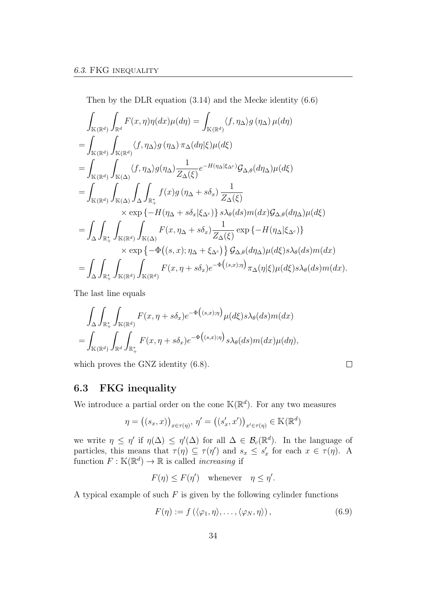Then by the DLR equation (3.14) and the Mecke identity (6.6)

$$
\int_{\mathbb{K}(\mathbb{R}^{d})} \int_{\mathbb{R}^{d}} F(x, \eta) \eta(dx) \mu(d\eta) = \int_{\mathbb{K}(\mathbb{R}^{d})} \langle f, \eta_{\Delta} \rangle g(\eta_{\Delta}) \mu(d\eta)
$$
\n
$$
= \int_{\mathbb{K}(\mathbb{R}^{d})} \int_{\mathbb{K}(\mathbb{R}^{d})} \langle f, \eta_{\Delta} \rangle g(\eta_{\Delta}) \pi_{\Delta}(d\eta | \xi) \mu(d\xi)
$$
\n
$$
= \int_{\mathbb{K}(\mathbb{R}^{d})} \int_{\mathbb{K}(\Delta)} \langle f, \eta_{\Delta} \rangle g(\eta_{\Delta}) \frac{1}{Z_{\Delta}(\xi)} e^{-H(\eta_{\Delta} | \xi_{\Delta c})} \mathcal{G}_{\Delta, \theta}(d\eta_{\Delta}) \mu(d\xi)
$$
\n
$$
= \int_{\mathbb{K}(\mathbb{R}^{d})} \int_{\mathbb{K}(\Delta)} \int_{\Delta} \int_{\mathbb{R}_{+}^{*}} f(x) g(\eta_{\Delta} + s \delta_{x}) \frac{1}{Z_{\Delta}(\xi)}
$$
\n
$$
\times \exp \{-H(\eta_{\Delta} + s \delta_{x} | \xi_{\Delta c})\} s \lambda_{\theta}(ds) m(dx) \mathcal{G}_{\Delta, \theta}(d\eta_{\Delta}) \mu(d\xi)
$$
\n
$$
= \int_{\Delta} \int_{\mathbb{R}_{+}^{*}} \int_{\mathbb{K}(\mathbb{R}^{d})} \int_{\mathbb{K}(\Delta)} F(x, \eta_{\Delta} + s \delta_{x}) \frac{1}{Z_{\Delta}(\xi)} \exp \{-H(\eta_{\Delta} | \xi_{\Delta c})\}
$$
\n
$$
\times \exp \{-\Phi((s, x); \eta_{\Delta} + \xi_{\Delta c})\} \mathcal{G}_{\Delta, \theta}(d\eta_{\Delta}) \mu(d\xi) s \lambda_{\theta}(ds) m(dx)
$$
\n
$$
= \int_{\Delta} \int_{\mathbb{R}_{+}^{*}} \int_{\mathbb{K}(\mathbb{R}^{d})} \int_{\mathbb{K}(\mathbb{R}^{d})} F(x, \eta + s \delta_{x}) e^{-\Phi((s, x); \eta)} \pi_{\Delta}(\eta | \xi) \mu(d\xi) s \lambda_{\
$$

The last line equals

$$
\int_{\Delta} \int_{\mathbb{R}_+^*} \int_{\mathbb{K}(\mathbb{R}^d)} F(x, \eta + s\delta_x) e^{-\Phi((s,x);\eta)} \mu(d\xi) s\lambda_{\theta}(ds) m(dx) \n= \int_{\mathbb{K}(\mathbb{R}^d)} \int_{\mathbb{R}^d} \int_{\mathbb{R}_+^*} F(x, \eta + s\delta_x) e^{-\Phi((s,x);\eta)} s\lambda_{\theta}(ds) m(dx) \mu(d\eta),
$$

which proves the GNZ identity (6.8).

$$
\Box
$$

#### 6.3 FKG inequality

We introduce a partial order on the cone  $\mathbb{K}(\mathbb{R}^d)$ . For any two measures

$$
\eta = ((s_x, x))_{x \in \tau(\eta)}, \eta' = ((s'_x, x'))_{x' \in \tau(\eta)} \in \mathbb{K}(\mathbb{R}^d)
$$

we write  $\eta \leq \eta'$  if  $\eta(\Delta) \leq \eta'(\Delta)$  for all  $\Delta \in \mathcal{B}_c(\mathbb{R}^d)$ . In the language of particles, this means that  $\tau(\eta) \subseteq \tau(\eta')$  and  $s_x \leq s'_x$  for each  $x \in \tau(\eta)$ . A function  $F : \mathbb{K}(\mathbb{R}^d) \to \mathbb{R}$  is called *increasing* if

$$
F(\eta) \le F(\eta') \quad \text{whenever} \quad \eta \le \eta'.
$$

A typical example of such  $F$  is given by the following cylinder functions

$$
F(\eta) := f\left(\langle \varphi_1, \eta \rangle, \dots, \langle \varphi_N, \eta \rangle\right),\tag{6.9}
$$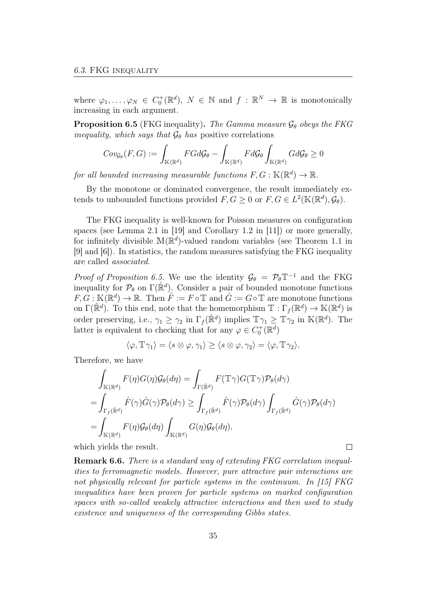where  $\varphi_1,\ldots,\varphi_N \in C_0^+(\mathbb{R}^d)$ ,  $N \in \mathbb{N}$  and  $f : \mathbb{R}^N \to \mathbb{R}$  is monotonically increasing in each argument.

**Proposition 6.5** (FKG inequality). The Gamma measure  $\mathcal{G}_{\theta}$  obeys the FKG inequality, which says that  $\mathcal{G}_{\theta}$  has positive correlations

$$
\mathit{Cov}_{\mathcal{G}_{\theta}}(F,G):=\int_{\mathbb{K}(\mathbb{R}^d)}FGd\mathcal{G}_{\theta}-\int_{\mathbb{K}(\mathbb{R}^d)}Fd\mathcal{G}_{\theta}\int_{\mathbb{K}(\mathbb{R}^d)}Gd\mathcal{G}_{\theta}\geq 0
$$

for all bounded increasing measurable functions  $F, G: \mathbb{K}(\mathbb{R}^d) \to \mathbb{R}$ .

By the monotone or dominated convergence, the result immediately extends to unbounded functions provided  $F, G \geq 0$  or  $F, G \in L^2(\mathbb{K}(\mathbb{R}^d), \mathcal{G}_{\theta}).$ 

The FKG inequality is well-known for Poisson measures on configuration spaces (see Lemma 2.1 in [19] and Corollary 1.2 in [11]) or more generally, for infinitely divisible  $\mathbb{M}(\mathbb{R}^d)$ -valued random variables (see Theorem 1.1 in [9] and [6]). In statistics, the random measures satisfying the FKG inequality are called associated.

*Proof of Proposition 6.5.* We use the identity  $\mathcal{G}_{\theta} = \mathcal{P}_{\theta} \mathbb{T}^{-1}$  and the FKG inequality for  $\mathcal{P}_{\theta}$  on  $\Gamma(\hat{\mathbb{R}}^d)$ . Consider a pair of bounded monotone functions  $F, G: \mathbb{K}(\mathbb{R}^d) \to \mathbb{R}$ . Then  $\hat{F} := F \circ \mathbb{T}$  and  $\hat{G} := G \circ \mathbb{T}$  are monotone functions on  $\Gamma(\mathbb{R}^d)$ . To this end, note that the homemorphism  $\mathbb{T} : \Gamma_f(\mathbb{R}^d) \to \mathbb{K}(\mathbb{R}^d)$  is order preserving, i.e.,  $\gamma_1 \geq \gamma_2$  in  $\Gamma_f(\hat{\mathbb{R}}^d)$  implies  $\mathbb{T}\gamma_1 \geq \mathbb{T}\gamma_2$  in  $\mathbb{K}(\mathbb{R}^d)$ . The latter is equivalent to checking that for any  $\varphi \in C_0^+(\mathbb{R}^d)$ 

$$
\langle \varphi, \mathbb{T}\gamma_1 \rangle = \langle s \otimes \varphi, \gamma_1 \rangle \ge \langle s \otimes \varphi, \gamma_2 \rangle = \langle \varphi, \mathbb{T}\gamma_2 \rangle.
$$

Therefore, we have

$$
\int_{\mathbb{K}(\mathbb{R}^d)} F(\eta)G(\eta)G_{\theta}(d\eta) = \int_{\Gamma(\hat{\mathbb{R}}^d)} F(\mathbb{T}\gamma)G(\mathbb{T}\gamma)\mathcal{P}_{\theta}(d\gamma)
$$
\n
$$
= \int_{\Gamma_f(\hat{\mathbb{R}}^d)} \hat{F}(\gamma)\hat{G}(\gamma)\mathcal{P}_{\theta}(d\gamma) \ge \int_{\Gamma_f(\hat{\mathbb{R}}^d)} \hat{F}(\gamma)\mathcal{P}_{\theta}(d\gamma) \int_{\Gamma_f(\hat{\mathbb{R}}^d)} \hat{G}(\gamma)\mathcal{P}_{\theta}(d\gamma)
$$
\n
$$
= \int_{\mathbb{K}(\mathbb{R}^d)} F(\eta)G_{\theta}(d\eta) \int_{\mathbb{K}(\mathbb{R}^d)} G(\eta)G_{\theta}(d\eta),
$$

 $\Box$ 

which yields the result.

Remark 6.6. There is a standard way of extending FKG correlation inequalities to ferromagnetic models. However, pure attractive pair interactions are not physically relevant for particle systems in the continuum. In [15] FKG inequalities have been proven for particle systems on marked configuration spaces with so-called weakely attractive interactions and then used to study existence and uniqueness of the corresponding Gibbs states.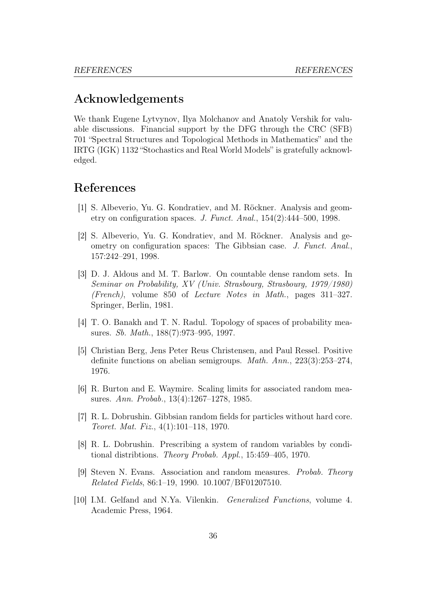# Acknowledgements

We thank Eugene Lytvynov, Ilya Molchanov and Anatoly Vershik for valuable discussions. Financial support by the DFG through the CRC (SFB) 701 "Spectral Structures and Topological Methods in Mathematics" and the IRTG (IGK) 1132 "Stochastics and Real World Models" is gratefully acknowledged.

# References

- [1] S. Albeverio, Yu. G. Kondratiev, and M. Röckner. Analysis and geometry on configuration spaces. J. Funct. Anal., 154(2):444–500, 1998.
- [2] S. Albeverio, Yu. G. Kondratiev, and M. Röckner. Analysis and geometry on configuration spaces: The Gibbsian case. J. Funct. Anal., 157:242–291, 1998.
- [3] D. J. Aldous and M. T. Barlow. On countable dense random sets. In Seminar on Probability, XV (Univ. Strasbourg, Strasbourg, 1979/1980) (French), volume 850 of Lecture Notes in Math., pages 311–327. Springer, Berlin, 1981.
- [4] T. O. Banakh and T. N. Radul. Topology of spaces of probability measures. Sb. Math., 188(7):973–995, 1997.
- [5] Christian Berg, Jens Peter Reus Christensen, and Paul Ressel. Positive definite functions on abelian semigroups. Math. Ann., 223(3):253–274, 1976.
- [6] R. Burton and E. Waymire. Scaling limits for associated random measures. Ann. Probab., 13(4):1267–1278, 1985.
- [7] R. L. Dobrushin. Gibbsian random fields for particles without hard core. Teoret. Mat. Fiz., 4(1):101–118, 1970.
- [8] R. L. Dobrushin. Prescribing a system of random variables by conditional distribtions. Theory Probab. Appl., 15:459–405, 1970.
- [9] Steven N. Evans. Association and random measures. Probab. Theory Related Fields, 86:1–19, 1990. 10.1007/BF01207510.
- [10] I.M. Gelfand and N.Ya. Vilenkin. Generalized Functions, volume 4. Academic Press, 1964.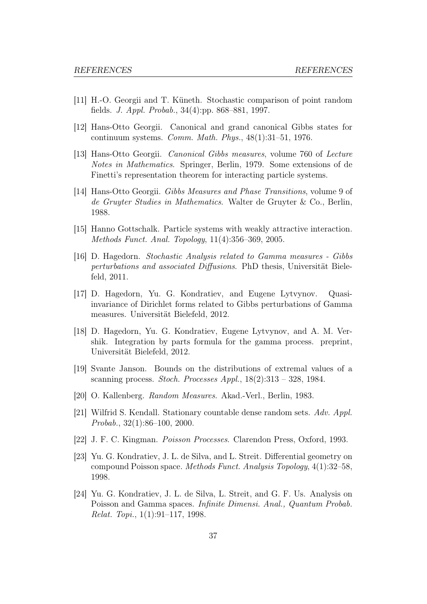- [11] H.-O. Georgii and T. Küneth. Stochastic comparison of point random fields. J. Appl. Probab., 34(4):pp. 868–881, 1997.
- [12] Hans-Otto Georgii. Canonical and grand canonical Gibbs states for continuum systems. Comm. Math. Phys., 48(1):31–51, 1976.
- [13] Hans-Otto Georgii. Canonical Gibbs measures, volume 760 of Lecture Notes in Mathematics. Springer, Berlin, 1979. Some extensions of de Finetti's representation theorem for interacting particle systems.
- [14] Hans-Otto Georgii. Gibbs Measures and Phase Transitions, volume 9 of de Gruyter Studies in Mathematics. Walter de Gruyter & Co., Berlin, 1988.
- [15] Hanno Gottschalk. Particle systems with weakly attractive interaction. Methods Funct. Anal. Topology, 11(4):356–369, 2005.
- [16] D. Hagedorn. Stochastic Analysis related to Gamma measures Gibbs perturbations and associated Diffusions. PhD thesis, Universität Bielefeld, 2011.
- [17] D. Hagedorn, Yu. G. Kondratiev, and Eugene Lytvynov. Quasiinvariance of Dirichlet forms related to Gibbs perturbations of Gamma measures. Universität Bielefeld, 2012.
- [18] D. Hagedorn, Yu. G. Kondratiev, Eugene Lytvynov, and A. M. Vershik. Integration by parts formula for the gamma process. preprint, Universität Bielefeld, 2012.
- [19] Svante Janson. Bounds on the distributions of extremal values of a scanning process. Stoch. Processes Appl.,  $18(2):313 - 328$ , 1984.
- [20] O. Kallenberg. Random Measures. Akad.-Verl., Berlin, 1983.
- [21] Wilfrid S. Kendall. Stationary countable dense random sets. Adv. Appl. Probab., 32(1):86–100, 2000.
- [22] J. F. C. Kingman. Poisson Processes. Clarendon Press, Oxford, 1993.
- [23] Yu. G. Kondratiev, J. L. de Silva, and L. Streit. Differential geometry on compound Poisson space. Methods Funct. Analysis Topology, 4(1):32–58, 1998.
- [24] Yu. G. Kondratiev, J. L. de Silva, L. Streit, and G. F. Us. Analysis on Poisson and Gamma spaces. Infinite Dimensi. Anal., Quantum Probab. Relat. Topi., 1(1):91–117, 1998.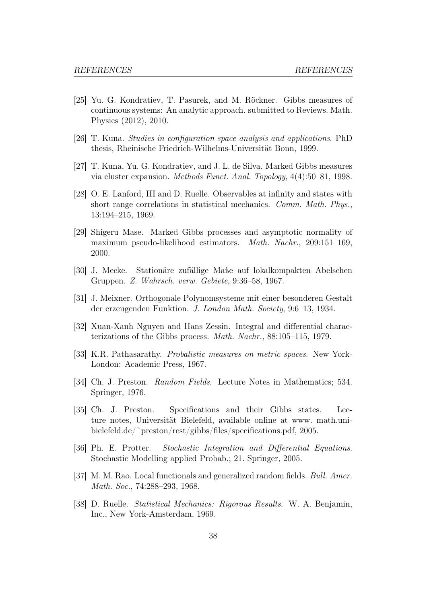- [25] Yu. G. Kondratiev, T. Pasurek, and M. Röckner. Gibbs measures of continuous systems: An analytic approach. submitted to Reviews. Math. Physics (2012), 2010.
- [26] T. Kuna. Studies in configuration space analysis and applications. PhD thesis, Rheinische Friedrich-Wilhelms-Universität Bonn, 1999.
- [27] T. Kuna, Yu. G. Kondratiev, and J. L. de Silva. Marked Gibbs measures via cluster expansion. Methods Funct. Anal. Topology, 4(4):50–81, 1998.
- [28] O. E. Lanford, III and D. Ruelle. Observables at infinity and states with short range correlations in statistical mechanics. Comm. Math. Phys., 13:194–215, 1969.
- [29] Shigeru Mase. Marked Gibbs processes and asymptotic normality of maximum pseudo-likelihood estimators. Math. Nachr., 209:151–169, 2000.
- [30] J. Mecke. Stationäre zufällige Maße auf lokalkompakten Abelschen Gruppen. Z. Wahrsch. verw. Gebiete, 9:36–58, 1967.
- [31] J. Meixner. Orthogonale Polynomsysteme mit einer besonderen Gestalt der erzeugenden Funktion. J. London Math. Society, 9:6–13, 1934.
- [32] Xuan-Xanh Nguyen and Hans Zessin. Integral and differential characterizations of the Gibbs process. Math. Nachr., 88:105–115, 1979.
- [33] K.R. Pathasarathy. Probalistic measures on metric spaces. New York-London: Academic Press, 1967.
- [34] Ch. J. Preston. Random Fields. Lecture Notes in Mathematics; 534. Springer, 1976.
- [35] Ch. J. Preston. Specifications and their Gibbs states. Lecture notes, Universität Bielefeld, available online at www. math.unibielefeld.de/~preston/rest/gibbs/files/specifications.pdf, 2005.
- [36] Ph. E. Protter. Stochastic Integration and Differential Equations. Stochastic Modelling applied Probab.; 21. Springer, 2005.
- [37] M. M. Rao. Local functionals and generalized random fields. Bull. Amer. Math. Soc., 74:288–293, 1968.
- [38] D. Ruelle. Statistical Mechanics: Rigorous Results. W. A. Benjamin, Inc., New York-Amsterdam, 1969.